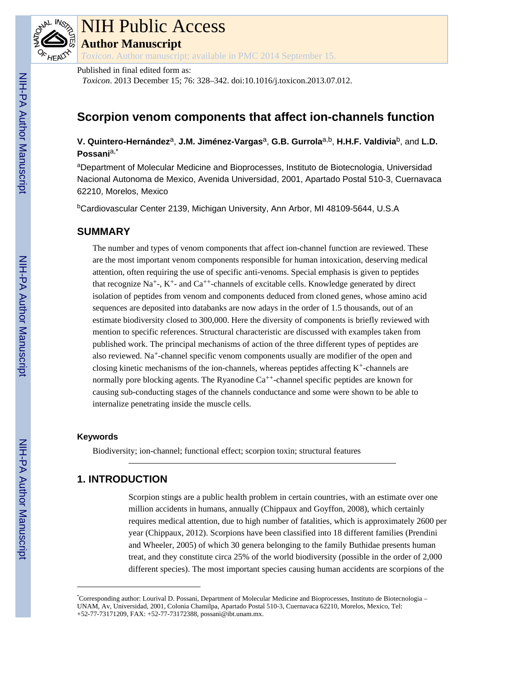

# NIH Public Access **Author Manuscript**

*Toxicon*. Author manuscript; available in PMC 2014 September 15.

Published in final edited form as:

*Toxicon*. 2013 December 15; 76: 328–342. doi:10.1016/j.toxicon.2013.07.012.

# **Scorpion venom components that affect ion-channels function**

**V. Quintero-Hernández**a, **J.M. Jiménez-Vargas**a, **G.B. Gurrola**a,b, **H.H.F. Valdivia**b, and **L.D. Possani**a,\*

<sup>a</sup>Department of Molecular Medicine and Bioprocesses, Instituto de Biotecnologia, Universidad Nacional Autonoma de Mexico, Avenida Universidad, 2001, Apartado Postal 510-3, Cuernavaca 62210, Morelos, Mexico

<sup>b</sup>Cardiovascular Center 2139, Michigan University, Ann Arbor, MI 48109-5644, U.S.A

# **SUMMARY**

The number and types of venom components that affect ion-channel function are reviewed. These are the most important venom components responsible for human intoxication, deserving medical attention, often requiring the use of specific anti-venoms. Special emphasis is given to peptides that recognize  $Na<sup>+</sup>$ -,  $K<sup>+</sup>$ - and  $Ca<sup>++</sup>$ -channels of excitable cells. Knowledge generated by direct isolation of peptides from venom and components deduced from cloned genes, whose amino acid sequences are deposited into databanks are now adays in the order of 1.5 thousands, out of an estimate biodiversity closed to 300,000. Here the diversity of components is briefly reviewed with mention to specific references. Structural characteristic are discussed with examples taken from published work. The principal mechanisms of action of the three different types of peptides are also reviewed. Na<sup>+</sup>-channel specific venom components usually are modifier of the open and closing kinetic mechanisms of the ion-channels, whereas peptides affecting  $K^+$ -channels are normally pore blocking agents. The Ryanodine  $Ca^{++}$ -channel specific peptides are known for causing sub-conducting stages of the channels conductance and some were shown to be able to internalize penetrating inside the muscle cells.

# **Keywords**

Biodiversity; ion-channel; functional effect; scorpion toxin; structural features

# **1. INTRODUCTION**

Scorpion stings are a public health problem in certain countries, with an estimate over one million accidents in humans, annually (Chippaux and Goyffon, 2008), which certainly requires medical attention, due to high number of fatalities, which is approximately 2600 per year (Chippaux, 2012). Scorpions have been classified into 18 different families (Prendini and Wheeler, 2005) of which 30 genera belonging to the family Buthidae presents human treat, and they constitute circa 25% of the world biodiversity (possible in the order of 2,000 different species). The most important species causing human accidents are scorpions of the

<sup>\*</sup>Corresponding author: Lourival D. Possani, Department of Molecular Medicine and Bioprocesses, Instituto de Biotecnologia – UNAM, Av, Universidad, 2001, Colonia Chamilpa, Apartado Postal 510-3, Cuernavaca 62210, Morelos, Mexico, Tel: +52-77-73171209, FAX: +52-77-73172388, possani@ibt.unam.mx.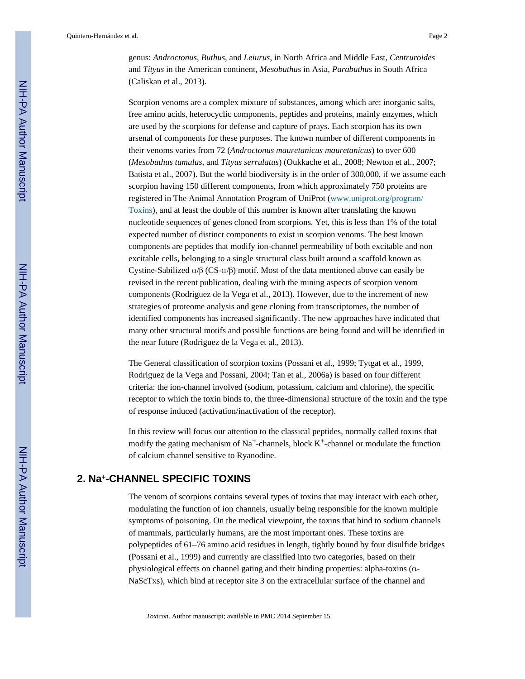genus: *Androctonus*, *Buthus*, and *Leiurus*, in North Africa and Middle East, *Centruroides* and *Tityus* in the American continent, *Mesobuthus* in Asia, *Parabuthus* in South Africa (Caliskan et al., 2013).

Scorpion venoms are a complex mixture of substances, among which are: inorganic salts, free amino acids, heterocyclic components, peptides and proteins, mainly enzymes, which are used by the scorpions for defense and capture of prays. Each scorpion has its own arsenal of components for these purposes. The known number of different components in their venoms varies from 72 (*Androctonus mauretanicus mauretanicus*) to over 600 (*Mesobuthus tumulus*, and *Tityus serrulatus*) (Oukkache et al., 2008; Newton et al., 2007; Batista et al., 2007). But the world biodiversity is in the order of 300,000, if we assume each scorpion having 150 different components, from which approximately 750 proteins are registered in The Animal Annotation Program of UniProt (www.uniprot.org/program/ Toxins), and at least the double of this number is known after translating the known nucleotide sequences of genes cloned from scorpions. Yet, this is less than 1% of the total expected number of distinct components to exist in scorpion venoms. The best known components are peptides that modify ion-channel permeability of both excitable and non excitable cells, belonging to a single structural class built around a scaffold known as Cystine-Sabilized α/β (CS-α/β) motif. Most of the data mentioned above can easily be revised in the recent publication, dealing with the mining aspects of scorpion venom components (Rodriguez de la Vega et al., 2013). However, due to the increment of new strategies of proteome analysis and gene cloning from transcriptomes, the number of identified components has increased significantly. The new approaches have indicated that many other structural motifs and possible functions are being found and will be identified in the near future (Rodriguez de la Vega et al., 2013).

The General classification of scorpion toxins (Possani et al., 1999; Tytgat et al., 1999, Rodriguez de la Vega and Possani, 2004; Tan et al., 2006a) is based on four different criteria: the ion-channel involved (sodium, potassium, calcium and chlorine), the specific receptor to which the toxin binds to, the three-dimensional structure of the toxin and the type of response induced (activation/inactivation of the receptor).

In this review will focus our attention to the classical peptides, normally called toxins that modify the gating mechanism of Na<sup>+</sup>-channels, block  $K^+$ -channel or modulate the function of calcium channel sensitive to Ryanodine.

# **2. Na<sup>+</sup>-CHANNEL SPECIFIC TOXINS**

The venom of scorpions contains several types of toxins that may interact with each other, modulating the function of ion channels, usually being responsible for the known multiple symptoms of poisoning. On the medical viewpoint, the toxins that bind to sodium channels of mammals, particularly humans, are the most important ones. These toxins are polypeptides of 61–76 amino acid residues in length, tightly bound by four disulfide bridges (Possani et al., 1999) and currently are classified into two categories, based on their physiological effects on channel gating and their binding properties: alpha-toxins (α-NaScTxs), which bind at receptor site 3 on the extracellular surface of the channel and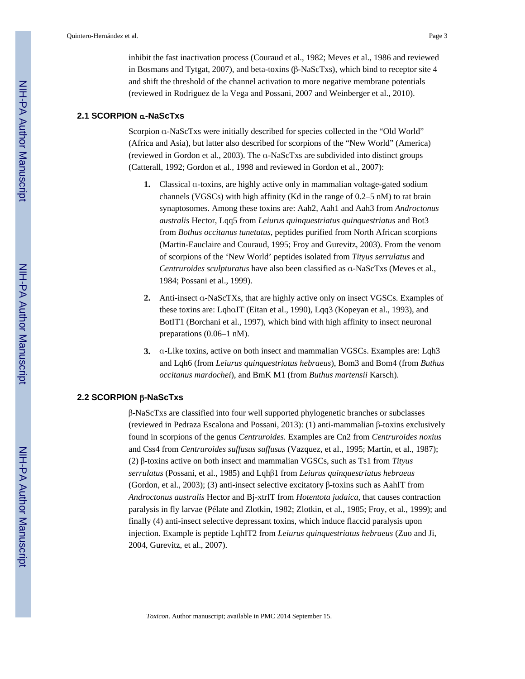inhibit the fast inactivation process (Couraud et al., 1982; Meves et al., 1986 and reviewed in Bosmans and Tytgat, 2007), and beta-toxins (β-NaScTxs), which bind to receptor site 4 and shift the threshold of the channel activation to more negative membrane potentials (reviewed in Rodriguez de la Vega and Possani, 2007 and Weinberger et al., 2010).

### **2.1 SCORPION** α**-NaScTxs**

Scorpion α-NaScTxs were initially described for species collected in the "Old World" (Africa and Asia), but latter also described for scorpions of the "New World" (America) (reviewed in Gordon et al., 2003). The α-NaScTxs are subdivided into distinct groups (Catterall, 1992; Gordon et al., 1998 and reviewed in Gordon et al., 2007):

- **1.** Classical α-toxins, are highly active only in mammalian voltage-gated sodium channels (VGSCs) with high affinity (Kd in the range of 0.2–5 nM) to rat brain synaptosomes. Among these toxins are: Aah2, Aah1 and Aah3 from *Androctonus australis* Hector, Lqq5 from *Leiurus quinquestriatus quinquestriatus* and Bot3 from *Bothus occitanus tunetatus*, peptides purified from North African scorpions (Martin-Eauclaire and Couraud, 1995; Froy and Gurevitz, 2003). From the venom of scorpions of the 'New World' peptides isolated from *Tityus serrulatus* and *Centruroides sculpturatus* have also been classified as α-NaScTxs (Meves et al., 1984; Possani et al., 1999).
- **2.** Anti-insect α-NaScTXs, that are highly active only on insect VGSCs. Examples of these toxins are: LqhαIT (Eitan et al., 1990), Lqq3 (Kopeyan et al., 1993), and BotIT1 (Borchani et al., 1997), which bind with high affinity to insect neuronal preparations (0.06–1 nM).
- **3.** α-Like toxins, active on both insect and mammalian VGSCs. Examples are: Lqh3 and Lqh6 (from *Leiurus quinquestriatus hebraeus*), Bom3 and Bom4 (from *Buthus occitanus mardochei*), and BmK M1 (from *Buthus martensii* Karsch).

# **2.2 SCORPION** β**-NaScTxs**

β-NaScTxs are classified into four well supported phylogenetic branches or subclasses (reviewed in Pedraza Escalona and Possani, 2013): (1) anti-mammalian β-toxins exclusively found in scorpions of the genus *Centruroides.* Examples are Cn2 from *Centruroides noxius* and Css4 from *Centruroides suffusus suffusus* (Vazquez, et al., 1995; Martín, et al., 1987); (2) β-toxins active on both insect and mammalian VGSCs, such as Ts1 from *Tityus serrulatus* (Possani, et al., 1985) and Lqhβ1 from *Leiurus quinquestriatus hebraeus* (Gordon, et al., 2003); (3) anti-insect selective excitatory β-toxins such as AahIT from *Androctonus australis* Hector and Bj-xtrIT from *Hotentota judaica,* that causes contraction paralysis in fly larvae (Pélate and Zlotkin, 1982; Zlotkin, et al., 1985; Froy, et al., 1999); and finally (4) anti-insect selective depressant toxins, which induce flaccid paralysis upon injection. Example is peptide LqhIT2 from *Leiurus quinquestriatus hebraeus* (Zuo and Ji, 2004, Gurevitz, et al., 2007).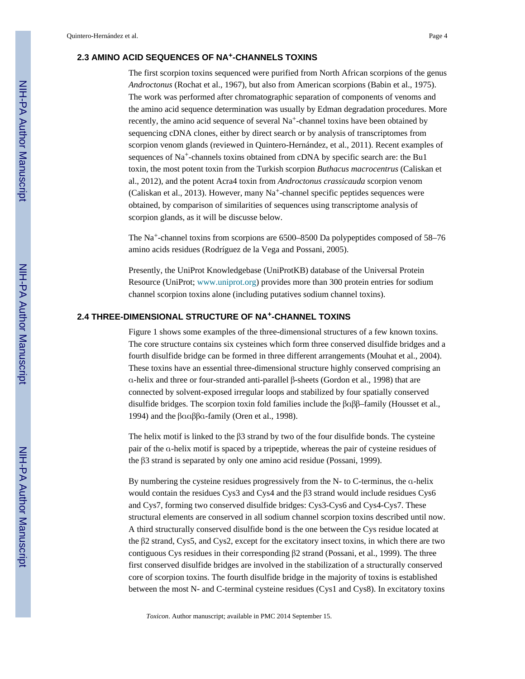# **2.3 AMINO ACID SEQUENCES OF NA+-CHANNELS TOXINS**

The first scorpion toxins sequenced were purified from North African scorpions of the genus *Androctonus* (Rochat et al., 1967), but also from American scorpions (Babin et al., 1975). The work was performed after chromatographic separation of components of venoms and the amino acid sequence determination was usually by Edman degradation procedures. More recently, the amino acid sequence of several Na<sup>+</sup>-channel toxins have been obtained by sequencing cDNA clones, either by direct search or by analysis of transcriptomes from scorpion venom glands (reviewed in Quintero-Hernández, et al., 2011). Recent examples of sequences of Na<sup>+</sup>-channels toxins obtained from cDNA by specific search are: the Bu1 toxin, the most potent toxin from the Turkish scorpion *Buthacus macrocentrus* (Caliskan et al., 2012), and the potent Acra4 toxin from *Androctonus crassicauda* scorpion venom (Caliskan et al., 2013). However, many  $Na^+$ -channel specific peptides sequences were obtained, by comparison of similarities of sequences using transcriptome analysis of scorpion glands, as it will be discusse below.

The Na+-channel toxins from scorpions are 6500–8500 Da polypeptides composed of 58–76 amino acids residues (Rodríguez de la Vega and Possani, 2005).

Presently, the UniProt Knowledgebase (UniProtKB) database of the Universal Protein Resource (UniProt; www.uniprot.org) provides more than 300 protein entries for sodium channel scorpion toxins alone (including putatives sodium channel toxins).

#### **2.4 THREE-DIMENSIONAL STRUCTURE OF NA+-CHANNEL TOXINS**

Figure 1 shows some examples of the three-dimensional structures of a few known toxins. The core structure contains six cysteines which form three conserved disulfide bridges and a fourth disulfide bridge can be formed in three different arrangements (Mouhat et al., 2004). These toxins have an essential three-dimensional structure highly conserved comprising an α-helix and three or four-stranded anti-parallel β-sheets (Gordon et al., 1998) that are connected by solvent-exposed irregular loops and stabilized by four spatially conserved disulfide bridges. The scorpion toxin fold families include the βαββ–family (Housset et al., 1994) and the βααββα-family (Oren et al., 1998).

The helix motif is linked to the β3 strand by two of the four disulfide bonds. The cysteine pair of the α-helix motif is spaced by a tripeptide, whereas the pair of cysteine residues of the β3 strand is separated by only one amino acid residue (Possani, 1999).

By numbering the cysteine residues progressively from the N- to C-terminus, the  $\alpha$ -helix would contain the residues Cys3 and Cys4 and the β3 strand would include residues Cys6 and Cys7, forming two conserved disulfide bridges: Cys3-Cys6 and Cys4-Cys7. These structural elements are conserved in all sodium channel scorpion toxins described until now. A third structurally conserved disulfide bond is the one between the Cys residue located at the β2 strand, Cys5, and Cys2, except for the excitatory insect toxins, in which there are two contiguous Cys residues in their corresponding β2 strand (Possani, et al., 1999). The three first conserved disulfide bridges are involved in the stabilization of a structurally conserved core of scorpion toxins. The fourth disulfide bridge in the majority of toxins is established between the most N- and C-terminal cysteine residues (Cys1 and Cys8). In excitatory toxins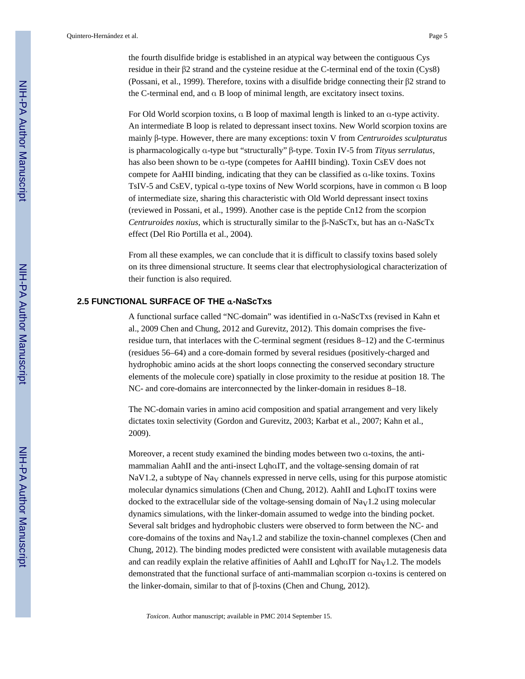the fourth disulfide bridge is established in an atypical way between the contiguous Cys residue in their β2 strand and the cysteine residue at the C-terminal end of the toxin (Cys8) (Possani, et al., 1999). Therefore, toxins with a disulfide bridge connecting their β2 strand to the C-terminal end, and α B loop of minimal length, are excitatory insect toxins.

For Old World scorpion toxins, α B loop of maximal length is linked to an α-type activity. An intermediate B loop is related to depressant insect toxins. New World scorpion toxins are mainly β-type. However, there are many exceptions: toxin V from *Centruroides sculpturatus* is pharmacologically α-type but "structurally" β-type. Toxin IV-5 from *Tityus serrulatus*, has also been shown to be α-type (competes for AaHII binding). Toxin CsEV does not compete for AaHII binding, indicating that they can be classified as α-like toxins. Toxins TsIV-5 and CsEV, typical  $\alpha$ -type toxins of New World scorpions, have in common  $\alpha$  B loop of intermediate size, sharing this characteristic with Old World depressant insect toxins (reviewed in Possani, et al., 1999). Another case is the peptide Cn12 from the scorpion *Centruroides noxius*, which is structurally similar to the β-NaScTx, but has an α-NaScTx effect (Del Rio Portilla et al., 2004).

From all these examples, we can conclude that it is difficult to classify toxins based solely on its three dimensional structure. It seems clear that electrophysiological characterization of their function is also required.

### **2.5 FUNCTIONAL SURFACE OF THE** α**-NaScTxs**

A functional surface called "NC-domain" was identified in α-NaScTxs (revised in Kahn et al., 2009 Chen and Chung, 2012 and Gurevitz, 2012). This domain comprises the fiveresidue turn, that interlaces with the C-terminal segment (residues 8–12) and the C-terminus (residues 56–64) and a core-domain formed by several residues (positively-charged and hydrophobic amino acids at the short loops connecting the conserved secondary structure elements of the molecule core) spatially in close proximity to the residue at position 18. The NC- and core-domains are interconnected by the linker-domain in residues 8–18.

The NC-domain varies in amino acid composition and spatial arrangement and very likely dictates toxin selectivity (Gordon and Gurevitz, 2003; Karbat et al., 2007; Kahn et al., 2009).

Moreover, a recent study examined the binding modes between two  $\alpha$ -toxins, the antimammalian AahII and the anti-insect Lqh $\alpha$ IT, and the voltage-sensing domain of rat NaV1.2, a subtype of Na<sub>V</sub> channels expressed in nerve cells, using for this purpose atomistic molecular dynamics simulations (Chen and Chung, 2012). AahII and LqhαIT toxins were docked to the extracellular side of the voltage-sensing domain of  $\text{Nay1.2}$  using molecular dynamics simulations, with the linker-domain assumed to wedge into the binding pocket. Several salt bridges and hydrophobic clusters were observed to form between the NC- and core-domains of the toxins and  $\text{Na}_{\text{V}}1.2$  and stabilize the toxin-channel complexes (Chen and Chung, 2012). The binding modes predicted were consistent with available mutagenesis data and can readily explain the relative affinities of AahII and Lqh $\alpha$ IT for Na<sub>V</sub>1.2. The models demonstrated that the functional surface of anti-mammalian scorpion α-toxins is centered on the linker-domain, similar to that of β-toxins (Chen and Chung, 2012).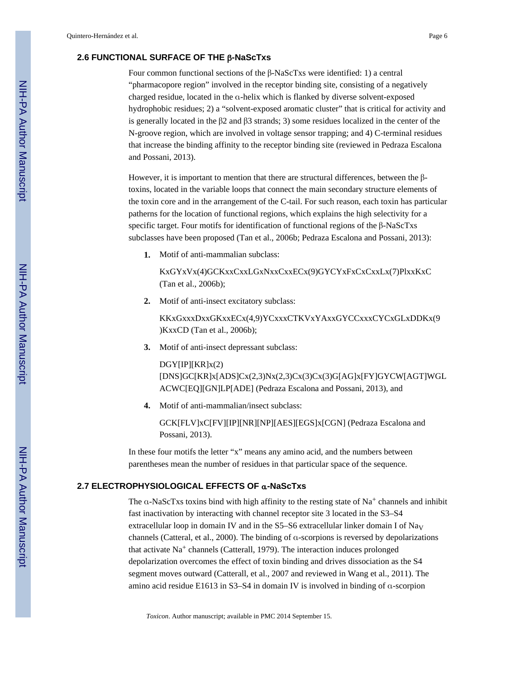# **2.6 FUNCTIONAL SURFACE OF THE** β**-NaScTxs**

Four common functional sections of the β-NaScTxs were identified: 1) a central "pharmacopore region" involved in the receptor binding site, consisting of a negatively charged residue, located in the α-helix which is flanked by diverse solvent-exposed hydrophobic residues; 2) a "solvent-exposed aromatic cluster" that is critical for activity and is generally located in the β2 and β3 strands; 3) some residues localized in the center of the N-groove region, which are involved in voltage sensor trapping; and 4) C-terminal residues that increase the binding affinity to the receptor binding site (reviewed in Pedraza Escalona and Possani, 2013).

However, it is important to mention that there are structural differences, between the βtoxins, located in the variable loops that connect the main secondary structure elements of the toxin core and in the arrangement of the C-tail. For such reason, each toxin has particular patherns for the location of functional regions, which explains the high selectivity for a specific target. Four motifs for identification of functional regions of the β-NaScTxs subclasses have been proposed (Tan et al., 2006b; Pedraza Escalona and Possani, 2013):

**1.** Motif of anti-mammalian subclass:

KxGYxVx(4)GCKxxCxxLGxNxxCxxECx(9)GYCYxFxCxCxxLx(7)PlxxKxC (Tan et al., 2006b);

**2.** Motif of anti-insect excitatory subclass:

KKxGxxxDxxGKxxECx(4,9)YCxxxCTKVxYAxxGYCCxxxCYCxGLxDDKx(9 )KxxCD (Tan et al., 2006b);

**3.** Motif of anti-insect depressant subclass:

 $DGY[IP][KR]x(2)$ [DNS]GC[KR]x[ADS]Cx(2,3)Nx(2,3)Cx(3)Cx(3)G[AG]x[FY]GYCW[AGT]WGL ACWC[EQ][GN]LP[ADE] (Pedraza Escalona and Possani, 2013), and

**4.** Motif of anti-mammalian/insect subclass:

GCK[FLV]xC[FV][IP][NR][NP][AES][EGS]x[CGN] (Pedraza Escalona and Possani, 2013).

In these four motifs the letter "x" means any amino acid, and the numbers between parentheses mean the number of residues in that particular space of the sequence.

### **2.7 ELECTROPHYSIOLOGICAL EFFECTS OF** α**-NaScTxs**

The  $\alpha$ -NaScTxs toxins bind with high affinity to the resting state of Na<sup>+</sup> channels and inhibit fast inactivation by interacting with channel receptor site 3 located in the S3–S4 extracellular loop in domain IV and in the  $S5-56$  extracellular linker domain I of Na<sub>V</sub> channels (Catteral, et al., 2000). The binding of α-scorpions is reversed by depolarizations that activate Na+ channels (Catterall, 1979). The interaction induces prolonged depolarization overcomes the effect of toxin binding and drives dissociation as the S4 segment moves outward (Catterall, et al., 2007 and reviewed in Wang et al., 2011). The amino acid residue E1613 in S3–S4 in domain IV is involved in binding of α-scorpion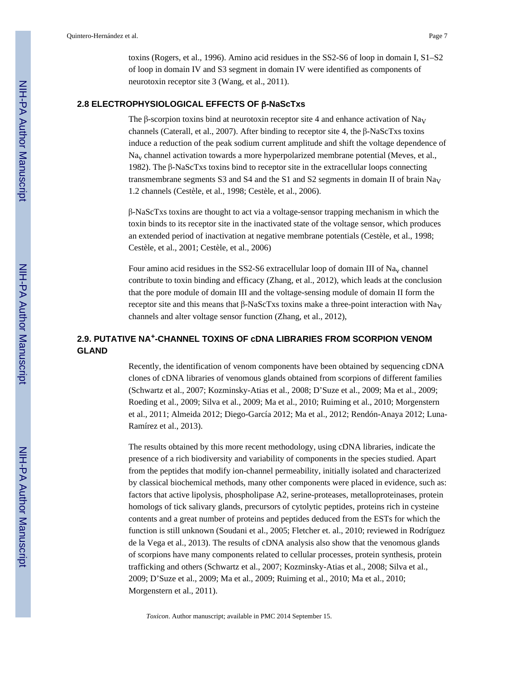toxins (Rogers, et al., 1996). Amino acid residues in the SS2-S6 of loop in domain I, S1–S2 of loop in domain IV and S3 segment in domain IV were identified as components of neurotoxin receptor site 3 (Wang, et al., 2011).

### **2.8 ELECTROPHYSIOLOGICAL EFFECTS OF** β**-NaScTxs**

The β-scorpion toxins bind at neurotoxin receptor site 4 and enhance activation of Na<sub>V</sub> channels (Caterall, et al., 2007). After binding to receptor site 4, the β-NaScTxs toxins induce a reduction of the peak sodium current amplitude and shift the voltage dependence of Nav channel activation towards a more hyperpolarized membrane potential (Meves, et al., 1982). The β-NaScTxs toxins bind to receptor site in the extracellular loops connecting transmembrane segments S3 and S4 and the S1 and S2 segments in domain II of brain  $\text{Na}_{\text{V}}$ 1.2 channels (Cestèle, et al., 1998; Cestèle, et al., 2006).

β-NaScTxs toxins are thought to act via a voltage-sensor trapping mechanism in which the toxin binds to its receptor site in the inactivated state of the voltage sensor, which produces an extended period of inactivation at negative membrane potentials (Cestèle, et al., 1998; Cestèle, et al., 2001; Cestèle, et al., 2006)

Four amino acid residues in the SS2-S6 extracellular loop of domain III of  $\text{Na}_v$  channel contribute to toxin binding and efficacy (Zhang, et al., 2012), which leads at the conclusion that the pore module of domain III and the voltage-sensing module of domain II form the receptor site and this means that β-NaScTxs toxins make a three-point interaction with Na<sub>V</sub> channels and alter voltage sensor function (Zhang, et al., 2012),

# **2.9. PUTATIVE NA+-CHANNEL TOXINS OF cDNA LIBRARIES FROM SCORPION VENOM GLAND**

Recently, the identification of venom components have been obtained by sequencing cDNA clones of cDNA libraries of venomous glands obtained from scorpions of different families (Schwartz et al., 2007; Kozminsky-Atias et al., 2008; D'Suze et al., 2009; Ma et al., 2009; Roeding et al., 2009; Silva et al., 2009; Ma et al., 2010; Ruiming et al., 2010; Morgenstern et al., 2011; Almeida 2012; Diego-García 2012; Ma et al., 2012; Rendón-Anaya 2012; Luna-Ramírez et al., 2013).

The results obtained by this more recent methodology, using cDNA libraries, indicate the presence of a rich biodiversity and variability of components in the species studied. Apart from the peptides that modify ion-channel permeability, initially isolated and characterized by classical biochemical methods, many other components were placed in evidence, such as: factors that active lipolysis, phospholipase A2, serine-proteases, metalloproteinases, protein homologs of tick salivary glands, precursors of cytolytic peptides, proteins rich in cysteine contents and a great number of proteins and peptides deduced from the ESTs for which the function is still unknown (Soudani et al., 2005; Fletcher et. al., 2010; reviewed in Rodríguez de la Vega et al., 2013). The results of cDNA analysis also show that the venomous glands of scorpions have many components related to cellular processes, protein synthesis, protein trafficking and others (Schwartz et al., 2007; Kozminsky-Atias et al., 2008; Silva et al., 2009; D'Suze et al., 2009; Ma et al., 2009; Ruiming et al., 2010; Ma et al., 2010; Morgenstern et al., 2011).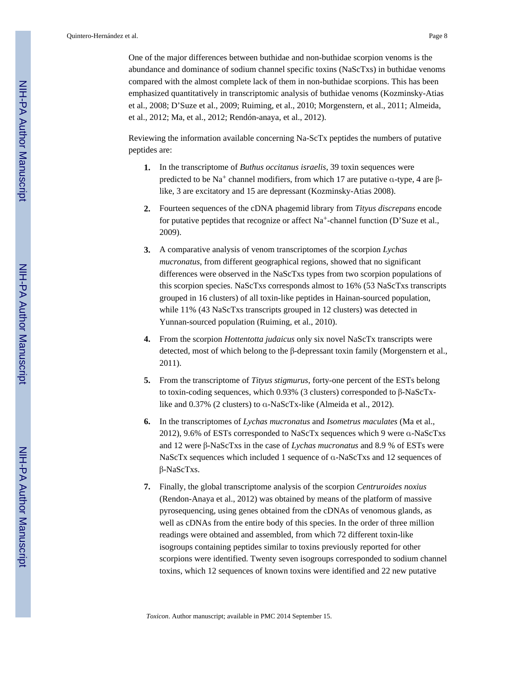One of the major differences between buthidae and non-buthidae scorpion venoms is the abundance and dominance of sodium channel specific toxins (NaScTxs) in buthidae venoms compared with the almost complete lack of them in non-buthidae scorpions. This has been emphasized quantitatively in transcriptomic analysis of buthidae venoms (Kozminsky-Atias et al., 2008; D'Suze et al., 2009; Ruiming, et al., 2010; Morgenstern, et al., 2011; Almeida, et al., 2012; Ma, et al., 2012; Rendón-anaya, et al., 2012).

Reviewing the information available concerning Na-ScTx peptides the numbers of putative peptides are:

- **1.** In the transcriptome of *Buthus occitanus israelis*, 39 toxin sequences were predicted to be Na<sup>+</sup> channel modifiers, from which 17 are putative  $\alpha$ -type, 4 are  $\beta$ like, 3 are excitatory and 15 are depressant (Kozminsky-Atias 2008).
- **2.** Fourteen sequences of the cDNA phagemid library from *Tityus discrepans* encode for putative peptides that recognize or affect  $Na^+$ -channel function (D'Suze et al., 2009).
- **3.** A comparative analysis of venom transcriptomes of the scorpion *Lychas mucronatus*, from different geographical regions, showed that no significant differences were observed in the NaScTxs types from two scorpion populations of this scorpion species. NaScTxs corresponds almost to 16% (53 NaScTxs transcripts grouped in 16 clusters) of all toxin-like peptides in Hainan-sourced population, while 11% (43 NaScTxs transcripts grouped in 12 clusters) was detected in Yunnan-sourced population (Ruiming, et al., 2010).
- **4.** From the scorpion *Hottentotta judaicus* only six novel NaScTx transcripts were detected, most of which belong to the β-depressant toxin family (Morgenstern et al., 2011).
- **5.** From the transcriptome of *Tityus stigmurus*, forty-one percent of the ESTs belong to toxin-coding sequences, which 0.93% (3 clusters) corresponded to β-NaScTxlike and 0.37% (2 clusters) to α-NaScTx-like (Almeida et al., 2012).
- **6.** In the transcriptomes of *Lychas mucronatus* and *Isometrus maculates* (Ma et al., 2012), 9.6% of ESTs corresponded to NaScTx sequences which 9 were α-NaScTxs and 12 were β-NaScTxs in the case of *Lychas mucronatus* and 8.9 % of ESTs were NaScTx sequences which included 1 sequence of α-NaScTxs and 12 sequences of β-NaScTxs.
- **7.** Finally, the global transcriptome analysis of the scorpion *Centruroides noxius* (Rendon-Anaya et al., 2012) was obtained by means of the platform of massive pyrosequencing, using genes obtained from the cDNAs of venomous glands, as well as cDNAs from the entire body of this species. In the order of three million readings were obtained and assembled, from which 72 different toxin-like isogroups containing peptides similar to toxins previously reported for other scorpions were identified. Twenty seven isogroups corresponded to sodium channel toxins, which 12 sequences of known toxins were identified and 22 new putative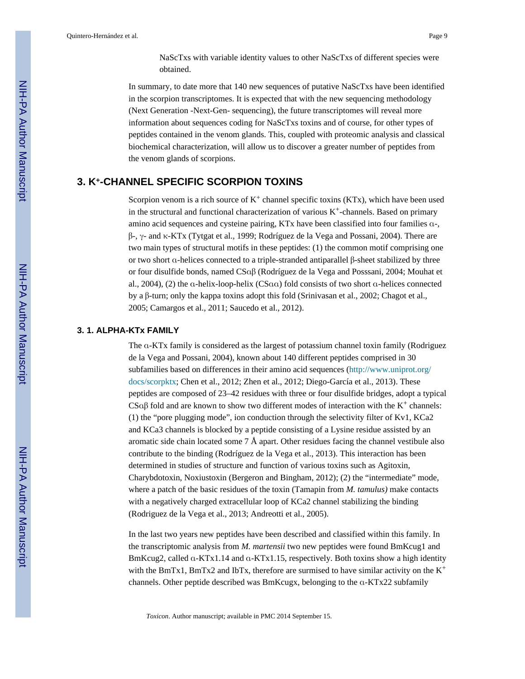NaScTxs with variable identity values to other NaScTxs of different species were obtained.

In summary, to date more that 140 new sequences of putative NaScTxs have been identified in the scorpion transcriptomes. It is expected that with the new sequencing methodology (Next Generation -Next-Gen- sequencing), the future transcriptomes will reveal more information about sequences coding for NaScTxs toxins and of course, for other types of peptides contained in the venom glands. This, coupled with proteomic analysis and classical biochemical characterization, will allow us to discover a greater number of peptides from the venom glands of scorpions.

# **3. K<sup>+</sup>-CHANNEL SPECIFIC SCORPION TOXINS**

Scorpion venom is a rich source of  $K^+$  channel specific toxins (KTx), which have been used in the structural and functional characterization of various  $K^+$ -channels. Based on primary amino acid sequences and cysteine pairing, KTx have been classified into four families α-, β-, γ- and κ-KTx (Tytgat et al., 1999; Rodríguez de la Vega and Possani, 2004). There are two main types of structural motifs in these peptides: (1) the common motif comprising one or two short α-helices connected to a triple-stranded antiparallel β-sheet stabilized by three or four disulfide bonds, named CSαβ (Rodríguez de la Vega and Posssani, 2004; Mouhat et al., 2004), (2) the α-helix-loop-helix (CSαα) fold consists of two short α-helices connected by a β-turn; only the kappa toxins adopt this fold (Srinivasan et al., 2002; Chagot et al., 2005; Camargos et al., 2011; Saucedo et al., 2012).

## **3. 1. ALPHA-KTx FAMILY**

The α-KTx family is considered as the largest of potassium channel toxin family (Rodriguez de la Vega and Possani, 2004), known about 140 different peptides comprised in 30 subfamilies based on differences in their amino acid sequences [\(http://www.uniprot.org/](http://www.uniprot.org/docs/scorpktx) [docs/scorpktx;](http://www.uniprot.org/docs/scorpktx) Chen et al., 2012; Zhen et al., 2012; Diego-García et al., 2013). These peptides are composed of 23–42 residues with three or four disulfide bridges, adopt a typical CS $\alpha\beta$  fold and are known to show two different modes of interaction with the K<sup>+</sup> channels: (1) the "pore plugging mode", ion conduction through the selectivity filter of Kv1, KCa2 and KCa3 channels is blocked by a peptide consisting of a Lysine residue assisted by an aromatic side chain located some 7 Å apart. Other residues facing the channel vestibule also contribute to the binding (Rodríguez de la Vega et al., 2013). This interaction has been determined in studies of structure and function of various toxins such as Agitoxin, Charybdotoxin, Noxiustoxin (Bergeron and Bingham, 2012); (2) the "intermediate" mode, where a patch of the basic residues of the toxin (Tamapin from *M. tamulus)* make contacts with a negatively charged extracellular loop of KCa2 channel stabilizing the binding (Rodriguez de la Vega et al., 2013; Andreotti et al., 2005).

In the last two years new peptides have been described and classified within this family. In the transcriptomic analysis from *M. martensii* two new peptides were found BmKcug1 and BmKcug2, called α-KTx1.14 and α-KTx1.15, respectively. Both toxins show a high identity with the BmTx1, BmTx2 and IbTx, therefore are surmised to have similar activity on the  $K^+$ channels. Other peptide described was BmKcugx, belonging to the α-KTx22 subfamily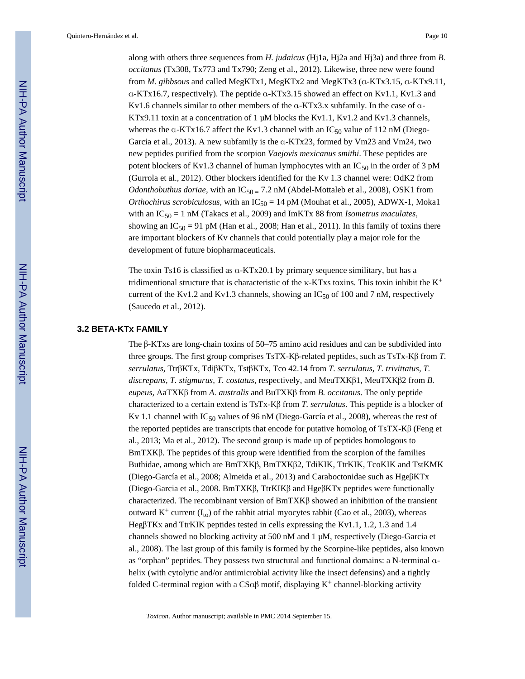along with others three sequences from *H. judaicus* (Hj1a, Hj2a and Hj3a) and three from *B. occitanus* (Tx308, Tx773 and Tx790; Zeng et al., 2012). Likewise, three new were found from *M. gibbsous* and called MegKTx1, MegKTx2 and MegKTx3 (α-KTx3.15, α-KTx9.11, α-KTx16.7, respectively). The peptide α-KTx3.15 showed an effect on Kv1.1, Kv1.3 and Kv1.6 channels similar to other members of the  $\alpha$ -KTx3.x subfamily. In the case of  $\alpha$ -KTx9.11 toxin at a concentration of 1  $\mu$ M blocks the Kv1.1, Kv1.2 and Kv1.3 channels, whereas the  $\alpha$ -KTx16.7 affect the Kv1.3 channel with an IC<sub>50</sub> value of 112 nM (Diego-Garcia et al., 2013). A new subfamily is the α-KTx23, formed by Vm23 and Vm24, two new peptides purified from the scorpion *Vaejovis mexicanus smithi*. These peptides are potent blockers of Kv1.3 channel of human lymphocytes with an  $IC_{50}$  in the order of 3 pM (Gurrola et al., 2012). Other blockers identified for the Kv 1.3 channel were: OdK2 from *Odonthobuthus doriae,* with an  $IC_{50} = 7.2$  nM (Abdel-Mottaleb et al., 2008), OSK1 from *Orthochirus scrobiculosus,* with an  $IC_{50} = 14$  pM (Mouhat et al., 2005), ADWX-1, Moka1 with an IC50 = 1 nM (Takacs et al., 2009) and ImKTx 88 from *Isometrus maculates,* showing an  $IC_{50} = 91 \text{ pM}$  (Han et al., 2008; Han et al., 2011). In this family of toxins there are important blockers of Kv channels that could potentially play a major role for the development of future biopharmaceuticals.

The toxin Ts16 is classified as  $\alpha$ -KTx20.1 by primary sequence similitary, but has a tridimentional structure that is characteristic of the κ-KTxs toxins. This toxin inhibit the K<sup>+</sup> current of the Kv1.2 and Kv1.3 channels, showing an  $IC_{50}$  of 100 and 7 nM, respectively (Saucedo et al., 2012).

#### **3.2 BETA-KTx FAMILY**

The β-KTxs are long-chain toxins of 50–75 amino acid residues and can be subdivided into three groups. The first group comprises TsTX-Kβ-related peptides, such as TsTx-Kβ from *T. serrulatus,* TtrβKTx, TdiβKTx, TstβKTx, Tco 42.14 from *T. serrulatus, T. trivittatus, T. discrepans, T. stigmurus, T. costatus*, respectively, and MeuTXKβ1, MeuTXKβ2 from *B. eupeus*, AaTXKβ from *A. australis* and BuTXKβ from *B. occitanus*. The only peptide characterized to a certain extend is TsTx-Kβ from *T. serrulatus*. This peptide is a blocker of Kv 1.1 channel with  $IC_{50}$  values of 96 nM (Diego-García et al., 2008), whereas the rest of the reported peptides are transcripts that encode for putative homolog of TsTX-Kβ (Feng et al., 2013; Ma et al., 2012). The second group is made up of peptides homologous to BmTXKβ. The peptides of this group were identified from the scorpion of the families Buthidae, among which are BmTXKβ, BmTXKβ2, TdiKIK, TtrKIK, TcoKIK and TstKMK (Diego-García et al., 2008; Almeida et al., 2013) and Caraboctonidae such as HgeβKTx (Diego-Garcia et al., 2008. BmTXKβ, TtrKIKβ and HgeβKTx peptides were functionally characterized. The recombinant version of  $BmTXK\beta$  showed an inhibition of the transient outward  $K^+$  current  $(I_{to})$  of the rabbit atrial myocytes rabbit (Cao et al., 2003), whereas HegβTKx and TtrKIK peptides tested in cells expressing the Kv1.1, 1.2, 1.3 and 1.4 channels showed no blocking activity at 500 nM and 1 μM, respectively (Diego-Garcia et al., 2008). The last group of this family is formed by the Scorpine-like peptides, also known as "orphan" peptides. They possess two structural and functional domains: a N-terminal αhelix (with cytolytic and/or antimicrobial activity like the insect defensins) and a tightly folded C-terminal region with a  $CS\alpha\beta$  motif, displaying K<sup>+</sup> channel-blocking activity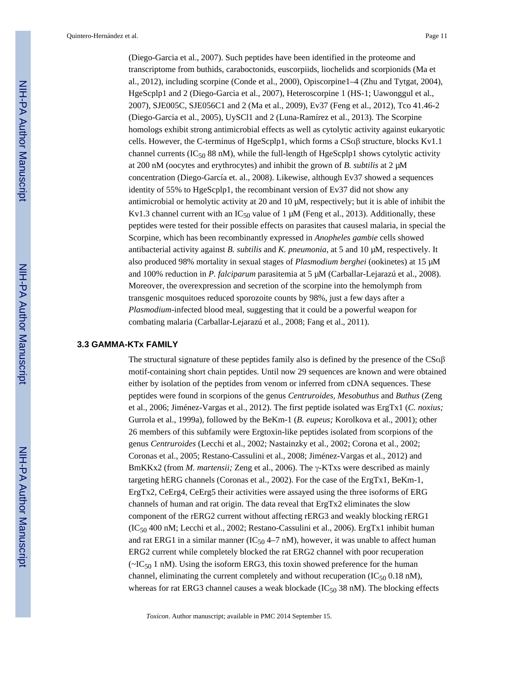(Diego-Garcia et al., 2007). Such peptides have been identified in the proteome and transcriptome from buthids, caraboctonids, euscorpiids, liochelids and scorpionids (Ma et al., 2012), including scorpine (Conde et al., 2000), Opiscorpine1–4 (Zhu and Tytgat, 2004), HgeScplp1 and 2 (Diego-Garcia et al., 2007), Heteroscorpine 1 (HS-1; Uawonggul et al., 2007), SJE005C, SJE056C1 and 2 (Ma et al., 2009), Ev37 (Feng et al., 2012), Tco 41.46-2 (Diego-Garcia et al., 2005), UySCl1 and 2 (Luna-Ramírez et al., 2013). The Scorpine homologs exhibit strong antimicrobial effects as well as cytolytic activity against eukaryotic cells. However, the C-terminus of HgeScplp1, which forms a CSαβ structure, blocks Kv1.1 channel currents (IC<sub>50</sub> 88 nM), while the full-length of HgeScplp1 shows cytolytic activity at 200 nM (oocytes and erythrocytes) and inhibit the grown of *B. subtilis* at 2 μM concentration (Diego-García et. al., 2008). Likewise, although Ev37 showed a sequences identity of 55% to HgeScplp1, the recombinant version of Ev37 did not show any antimicrobial or hemolytic activity at 20 and 10 μM, respectively; but it is able of inhibit the Kv1.3 channel current with an IC<sub>50</sub> value of 1  $\mu$ M (Feng et al., 2013). Additionally, these peptides were tested for their possible effects on parasites that causesl malaria, in special the Scorpine, which has been recombinantly expressed in *Anopheles gambie* cells showed antibacterial activity against *B. subtilis* and *K. pneumonia*, at 5 and 10 μM, respectively. It also produced 98% mortality in sexual stages of *Plasmodium berghei* (ookinetes) at 15 μM and 100% reduction in *P. falciparum* parasitemia at 5 μM (Carballar-Lejarazú et al., 2008). Moreover, the overexpression and secretion of the scorpine into the hemolymph from transgenic mosquitoes reduced sporozoite counts by 98%, just a few days after a *Plasmodium-*infected blood meal, suggesting that it could be a powerful weapon for combating malaria (Carballar-Lejarazú et al., 2008; Fang et al., 2011).

### **3.3 GAMMA-KTx FAMILY**

The structural signature of these peptides family also is defined by the presence of the  $CS\alpha\beta$ motif-containing short chain peptides. Until now 29 sequences are known and were obtained either by isolation of the peptides from venom or inferred from cDNA sequences. These peptides were found in scorpions of the genus *Centruroides, Mesobuthus* and *Buthus* (Zeng et al., 2006; Jiménez-Vargas et al., 2012). The first peptide isolated was ErgTx1 (*C. noxius;* Gurrola et al., 1999a), followed by the BeKm-1 (*B. eupeus;* Korolkova et al., 2001); other 26 members of this subfamily were Ergtoxin-like peptides isolated from scorpions of the genus *Centruroides* (Lecchi et al., 2002; Nastainzky et al., 2002; Corona et al., 2002; Coronas et al., 2005; Restano-Cassulini et al., 2008; Jiménez-Vargas et al., 2012) and BmKKx2 (from *M. martensii;* Zeng et al., 2006). The γ-KTxs were described as mainly targeting hERG channels (Coronas et al., 2002). For the case of the ErgTx1, BeKm-1, ErgTx2, CeErg4, CeErg5 their activities were assayed using the three isoforms of ERG channels of human and rat origin. The data reveal that ErgTx2 eliminates the slow component of the rERG2 current without affecting rERG3 and weakly blocking rERG1 (IC50 400 nM; Lecchi et al., 2002; Restano-Cassulini et al., 2006). ErgTx1 inhibit human and rat ERG1 in a similar manner (IC<sub>50</sub> 4–7 nM), however, it was unable to affect human ERG2 current while completely blocked the rat ERG2 channel with poor recuperation ( $\sim$ IC<sub>50</sub> 1 nM). Using the isoform ERG3, this toxin showed preference for the human channel, eliminating the current completely and without recuperation  $(IC_{50} 0.18 \text{ nM})$ , whereas for rat ERG3 channel causes a weak blockade ( $IC_{50}$  38 nM). The blocking effects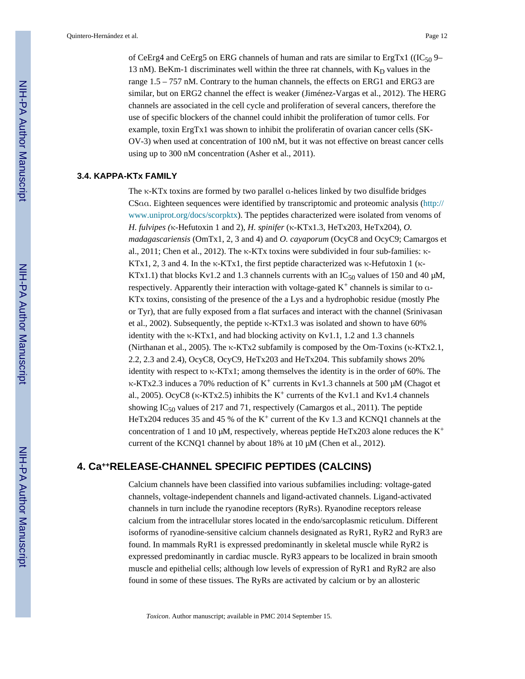of CeErg4 and CeErg5 on ERG channels of human and rats are similar to ErgTx1 ( $(IC_{50}$ 9– 13 nM). BeKm-1 discriminates well within the three rat channels, with  $K_D$  values in the range 1.5 – 757 nM. Contrary to the human channels, the effects on ERG1 and ERG3 are similar, but on ERG2 channel the effect is weaker (Jiménez-Vargas et al., 2012). The HERG channels are associated in the cell cycle and proliferation of several cancers, therefore the use of specific blockers of the channel could inhibit the proliferation of tumor cells. For example, toxin ErgTx1 was shown to inhibit the proliferatin of ovarian cancer cells (SK-OV-3) when used at concentration of 100 nM, but it was not effective on breast cancer cells using up to 300 nM concentration (Asher et al., 2011).

# **3.4. KAPPA-KTx FAMILY**

The  $\kappa$ -KTx toxins are formed by two parallel  $\alpha$ -helices linked by two disulfide bridges CSαα. Eighteen sequences were identified by transcriptomic and proteomic analysis ([http://](http://www.uniprot.org/docs/scorpktx) [www.uniprot.org/docs/scorpktx](http://www.uniprot.org/docs/scorpktx)). The peptides characterized were isolated from venoms of *H. fulvipes (*κ-Hefutoxin 1 and 2), *H. spinifer* (κ-KTx1.3, HeTx203, HeTx204)*, O. madagascariensis* (OmTx1, 2, 3 and 4) and *O. cayaporum* (OcyC8 and OcyC9; Camargos et al., 2011; Chen et al., 2012). The κ-KTx toxins were subdivided in four sub-families: κ-KTx1, 2, 3 and 4. In the κ-KTx1, the first peptide characterized was κ-Hefutoxin 1 (κ-KTx1.1) that blocks Kv1.2 and 1.3 channels currents with an IC<sub>50</sub> values of 150 and 40  $\mu$ M, respectively. Apparently their interaction with voltage-gated  $K^+$  channels is similar to  $\alpha$ -KTx toxins, consisting of the presence of the a Lys and a hydrophobic residue (mostly Phe or Tyr), that are fully exposed from a flat surfaces and interact with the channel (Srinivasan et al., 2002). Subsequently, the peptide  $\kappa$ -KTx1.3 was isolated and shown to have 60% identity with the  $\kappa$ -KTx1, and had blocking activity on Kv1.1, 1.2 and 1.3 channels (Nirthanan et al., 2005). The κ-KTx2 subfamily is composed by the Om-Toxins (κ-KTx2.1, 2.2, 2.3 and 2.4), OcyC8, OcyC9, HeTx203 and HeTx204. This subfamily shows 20% identity with respect to κ-KTx1; among themselves the identity is in the order of 60%. The κ-KTx2.3 induces a 70% reduction of K+ currents in Kv1.3 channels at 500 μM (Chagot et al., 2005). OcyC8 ( $\kappa$ -KTx2.5) inhibits the K<sup>+</sup> currents of the Kv1.1 and Kv1.4 channels showing IC<sub>50</sub> values of 217 and 71, respectively (Camargos et al., 2011). The peptide HeTx204 reduces 35 and 45 % of the K<sup>+</sup> current of the Kv 1.3 and KCNQ1 channels at the concentration of 1 and 10 μM, respectively, whereas peptide HeTx203 alone reduces the  $K^+$ current of the KCNQ1 channel by about 18% at 10 μM (Chen et al., 2012).

# **4. Ca++RELEASE-CHANNEL SPECIFIC PEPTIDES (CALCINS)**

Calcium channels have been classified into various subfamilies including: voltage-gated channels, voltage-independent channels and ligand-activated channels. Ligand-activated channels in turn include the ryanodine receptors (RyRs). Ryanodine receptors release calcium from the intracellular stores located in the endo/sarcoplasmic reticulum. Different isoforms of ryanodine-sensitive calcium channels designated as RyR1, RyR2 and RyR3 are found. In mammals RyR1 is expressed predominantly in skeletal muscle while RyR2 is expressed predominantly in cardiac muscle. RyR3 appears to be localized in brain smooth muscle and epithelial cells; although low levels of expression of RyR1 and RyR2 are also found in some of these tissues. The RyRs are activated by calcium or by an allosteric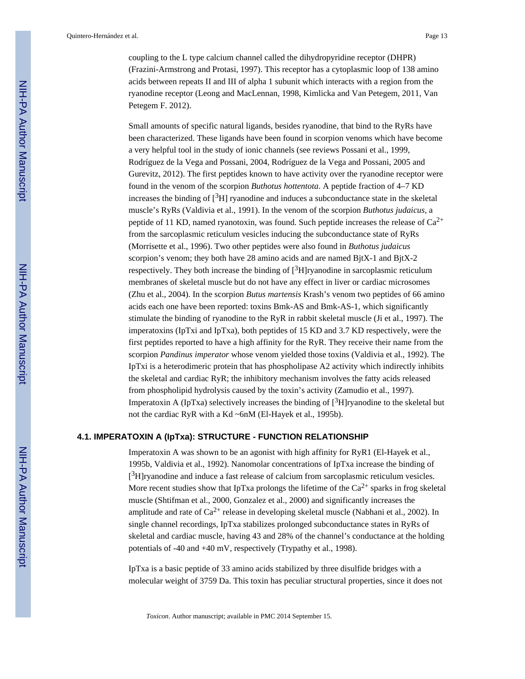coupling to the L type calcium channel called the dihydropyridine receptor (DHPR) (Frazini-Armstrong and Protasi, 1997). This receptor has a cytoplasmic loop of 138 amino acids between repeats II and III of alpha 1 subunit which interacts with a region from the ryanodine receptor (Leong and MacLennan, 1998, Kimlicka and Van Petegem, 2011, Van Petegem F. 2012).

Small amounts of specific natural ligands, besides ryanodine, that bind to the RyRs have been characterized. These ligands have been found in scorpion venoms which have become a very helpful tool in the study of ionic channels (see reviews Possani et al., 1999, Rodríguez de la Vega and Possani, 2004, Rodríguez de la Vega and Possani, 2005 and Gurevitz, 2012). The first peptides known to have activity over the ryanodine receptor were found in the venom of the scorpion *Buthotus hottentota*. A peptide fraction of 4–7 KD increases the binding of  $[3H]$  ryanodine and induces a subconductance state in the skeletal muscle's RyRs (Valdivia et al., 1991). In the venom of the scorpion *Buthotus judaicus,* a peptide of 11 KD, named ryanotoxin, was found. Such peptide increases the release of  $Ca^{2+}$ from the sarcoplasmic reticulum vesicles inducing the subconductance state of RyRs (Morrisette et al., 1996). Two other peptides were also found in *Buthotus judaicus* scorpion's venom; they both have 28 amino acids and are named BjtX-1 and BjtX-2 respectively. They both increase the binding of  $\lceil \frac{3}{2}H \rceil$  ryanodine in sarcoplasmic reticulum membranes of skeletal muscle but do not have any effect in liver or cardiac microsomes (Zhu et al., 2004). In the scorpion *Butus martensis* Krash's venom two peptides of 66 amino acids each one have been reported: toxins Bmk-AS and Bmk-AS-1, which significantly stimulate the binding of ryanodine to the RyR in rabbit skeletal muscle (Ji et al., 1997). The imperatoxins (IpTxi and IpTxa), both peptides of 15 KD and 3.7 KD respectively, were the first peptides reported to have a high affinity for the RyR. They receive their name from the scorpion *Pandinus imperator* whose venom yielded those toxins (Valdivia et al., 1992). The IpTxi is a heterodimeric protein that has phospholipase A2 activity which indirectly inhibits the skeletal and cardiac RyR; the inhibitory mechanism involves the fatty acids released from phospholipid hydrolysis caused by the toxin's activity (Zamudio et al., 1997). Imperatoxin A (IpTxa) selectively increases the binding of  $\beta$ H]ryanodine to the skeletal but not the cardiac RyR with a Kd ~6nM (El-Hayek et al., 1995b).

#### **4.1. IMPERATOXIN A (IpTxa): STRUCTURE - FUNCTION RELATIONSHIP**

Imperatoxin A was shown to be an agonist with high affinity for RyR1 (El-Hayek et al., 1995b, Valdivia et al., 1992). Nanomolar concentrations of IpTxa increase the binding of [<sup>3</sup>H]ryanodine and induce a fast release of calcium from sarcoplasmic reticulum vesicles. More recent studies show that IpTxa prolongs the lifetime of the  $Ca^{2+}$  sparks in frog skeletal muscle (Shtifman et al., 2000, Gonzalez et al., 2000) and significantly increases the amplitude and rate of  $Ca^{2+}$  release in developing skeletal muscle (Nabhani et al., 2002). In single channel recordings, IpTxa stabilizes prolonged subconductance states in RyRs of skeletal and cardiac muscle, having 43 and 28% of the channel's conductance at the holding potentials of -40 and +40 mV, respectively (Trypathy et al., 1998).

IpTxa is a basic peptide of 33 amino acids stabilized by three disulfide bridges with a molecular weight of 3759 Da. This toxin has peculiar structural properties, since it does not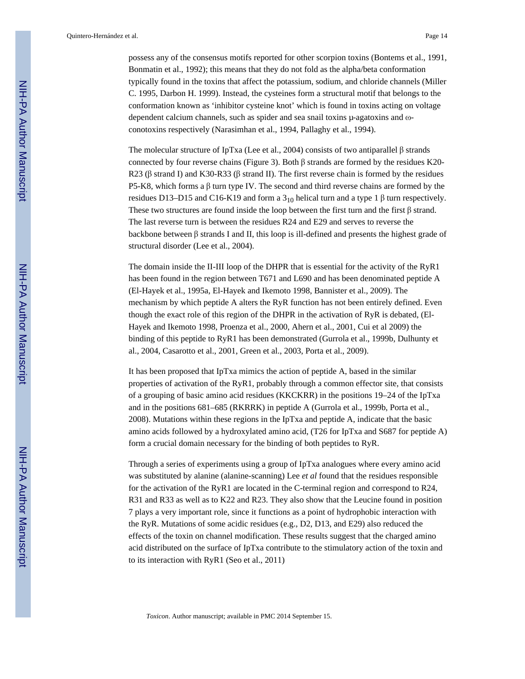possess any of the consensus motifs reported for other scorpion toxins (Bontems et al., 1991, Bonmatin et al., 1992); this means that they do not fold as the alpha/beta conformation typically found in the toxins that affect the potassium, sodium, and chloride channels (Miller C. 1995, Darbon H. 1999). Instead, the cysteines form a structural motif that belongs to the conformation known as 'inhibitor cysteine knot' which is found in toxins acting on voltage dependent calcium channels, such as spider and sea snail toxins μ-agatoxins and ωconotoxins respectively (Narasimhan et al., 1994, Pallaghy et al., 1994).

The molecular structure of IpTxa (Lee et al., 2004) consists of two antiparallel β strands connected by four reverse chains (Figure 3). Both β strands are formed by the residues K20-R23 (β strand I) and K30-R33 (β strand II). The first reverse chain is formed by the residues P5-K8, which forms a β turn type IV. The second and third reverse chains are formed by the residues D13–D15 and C16-K19 and form a 3<sub>10</sub> helical turn and a type 1 β turn respectively. These two structures are found inside the loop between the first turn and the first  $\beta$  strand. The last reverse turn is between the residues R24 and E29 and serves to reverse the backbone between  $\beta$  strands I and II, this loop is ill-defined and presents the highest grade of structural disorder (Lee et al., 2004).

The domain inside the II-III loop of the DHPR that is essential for the activity of the RyR1 has been found in the region between T671 and L690 and has been denominated peptide A (El-Hayek et al., 1995a, El-Hayek and Ikemoto 1998, Bannister et al., 2009). The mechanism by which peptide A alters the RyR function has not been entirely defined. Even though the exact role of this region of the DHPR in the activation of RyR is debated, (El-Hayek and Ikemoto 1998, Proenza et al., 2000, Ahern et al., 2001, Cui et al 2009) the binding of this peptide to RyR1 has been demonstrated (Gurrola et al., 1999b, Dulhunty et al., 2004, Casarotto et al., 2001, Green et al., 2003, Porta et al., 2009).

It has been proposed that IpTxa mimics the action of peptide A, based in the similar properties of activation of the RyR1, probably through a common effector site, that consists of a grouping of basic amino acid residues (KKCKRR) in the positions 19–24 of the IpTxa and in the positions 681–685 (RKRRK) in peptide A (Gurrola et al., 1999b, Porta et al., 2008). Mutations within these regions in the IpTxa and peptide A, indicate that the basic amino acids followed by a hydroxylated amino acid, (T26 for IpTxa and S687 for peptide A) form a crucial domain necessary for the binding of both peptides to RyR.

Through a series of experiments using a group of IpTxa analogues where every amino acid was substituted by alanine (alanine-scanning) Lee *et al* found that the residues responsible for the activation of the RyR1 are located in the C-terminal region and correspond to R24, R31 and R33 as well as to K22 and R23. They also show that the Leucine found in position 7 plays a very important role, since it functions as a point of hydrophobic interaction with the RyR. Mutations of some acidic residues (e.g., D2, D13, and E29) also reduced the effects of the toxin on channel modification. These results suggest that the charged amino acid distributed on the surface of IpTxa contribute to the stimulatory action of the toxin and to its interaction with RyR1 (Seo et al., 2011)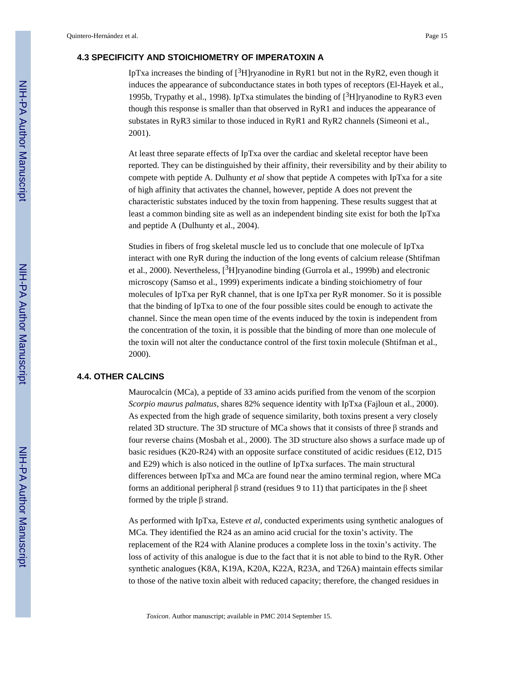# **4.3 SPECIFICITY AND STOICHIOMETRY OF IMPERATOXIN A**

IpTxa increases the binding of  $\beta$ H]ryanodine in RyR1 but not in the RyR2, even though it induces the appearance of subconductance states in both types of receptors (El-Hayek et al., 1995b, Trypathy et al., 1998). IpTxa stimulates the binding of  $[3H]$ ryanodine to RyR3 even though this response is smaller than that observed in RyR1 and induces the appearance of substates in RyR3 similar to those induced in RyR1 and RyR2 channels (Simeoni et al., 2001).

At least three separate effects of IpTxa over the cardiac and skeletal receptor have been reported. They can be distinguished by their affinity, their reversibility and by their ability to compete with peptide A. Dulhunty *et al* show that peptide A competes with IpTxa for a site of high affinity that activates the channel, however, peptide A does not prevent the characteristic substates induced by the toxin from happening. These results suggest that at least a common binding site as well as an independent binding site exist for both the IpTxa and peptide A (Dulhunty et al., 2004).

Studies in fibers of frog skeletal muscle led us to conclude that one molecule of IpTxa interact with one RyR during the induction of the long events of calcium release (Shtifman et al., 2000). Nevertheless,  $[3H]$ ryanodine binding (Gurrola et al., 1999b) and electronic microscopy (Samso et al., 1999) experiments indicate a binding stoichiometry of four molecules of IpTxa per RyR channel, that is one IpTxa per RyR monomer. So it is possible that the binding of IpTxa to one of the four possible sites could be enough to activate the channel. Since the mean open time of the events induced by the toxin is independent from the concentration of the toxin, it is possible that the binding of more than one molecule of the toxin will not alter the conductance control of the first toxin molecule (Shtifman et al., 2000).

### **4.4. OTHER CALCINS**

Maurocalcin (MCa), a peptide of 33 amino acids purified from the venom of the scorpion *Scorpio maurus palmatus,* shares 82% sequence identity with IpTxa (Fajloun et al., 2000). As expected from the high grade of sequence similarity, both toxins present a very closely related 3D structure. The 3D structure of MCa shows that it consists of three β strands and four reverse chains (Mosbah et al., 2000). The 3D structure also shows a surface made up of basic residues (K20-R24) with an opposite surface constituted of acidic residues (E12, D15 and E29) which is also noticed in the outline of IpTxa surfaces. The main structural differences between IpTxa and MCa are found near the amino terminal region, where MCa forms an additional peripheral β strand (residues 9 to 11) that participates in the β sheet formed by the triple β strand.

As performed with IpTxa, Esteve *et al*, conducted experiments using synthetic analogues of MCa. They identified the R24 as an amino acid crucial for the toxin's activity. The replacement of the R24 with Alanine produces a complete loss in the toxin's activity. The loss of activity of this analogue is due to the fact that it is not able to bind to the RyR. Other synthetic analogues (K8A, K19A, K20A, K22A, R23A, and T26A) maintain effects similar to those of the native toxin albeit with reduced capacity; therefore, the changed residues in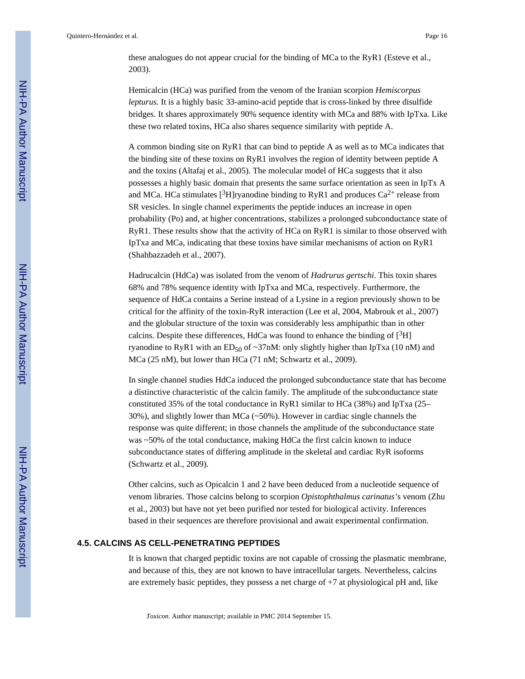these analogues do not appear crucial for the binding of MCa to the RyR1 (Esteve et al., 2003).

Hemicalcin (HCa) was purified from the venom of the Iranian scorpion *Hemiscorpus lepturus.* It is a highly basic 33-amino-acid peptide that is cross-linked by three disulfide bridges. It shares approximately 90% sequence identity with MCa and 88% with IpTxa. Like these two related toxins, HCa also shares sequence similarity with peptide A.

A common binding site on RyR1 that can bind to peptide A as well as to MCa indicates that the binding site of these toxins on RyR1 involves the region of identity between peptide A and the toxins (Altafaj et al., 2005). The molecular model of HCa suggests that it also possesses a highly basic domain that presents the same surface orientation as seen in IpTx A and MCa. HCa stimulates [ $3H$ ]ryanodine binding to RyR1 and produces Ca<sup>2+</sup> release from SR vesicles. In single channel experiments the peptide induces an increase in open probability (Po) and, at higher concentrations, stabilizes a prolonged subconductance state of RyR1. These results show that the activity of HCa on RyR1 is similar to those observed with IpTxa and MCa, indicating that these toxins have similar mechanisms of action on RyR1 (Shahbazzadeh et al., 2007).

Hadrucalcin (HdCa) was isolated from the venom of *Hadrurus gertschi*. This toxin shares 68% and 78% sequence identity with IpTxa and MCa, respectively. Furthermore, the sequence of HdCa contains a Serine instead of a Lysine in a region previously shown to be critical for the affinity of the toxin-RyR interaction (Lee et al, 2004, Mabrouk et al., 2007) and the globular structure of the toxin was considerably less amphipathic than in other calcins. Despite these differences, HdCa was found to enhance the binding of  $[{}^{3}H]$ ryanodine to RyR1 with an ED<sub>50</sub> of ~37nM: only slightly higher than IpTxa (10 nM) and MCa (25 nM), but lower than HCa (71 nM; Schwartz et al., 2009).

In single channel studies HdCa induced the prolonged subconductance state that has become a distinctive characteristic of the calcin family. The amplitude of the subconductance state constituted 35% of the total conductance in RyR1 similar to HCa  $(38%)$  and IpTxa  $(25–$ 30%), and slightly lower than MCa (~50%). However in cardiac single channels the response was quite different; in those channels the amplitude of the subconductance state was ~50% of the total conductance, making HdCa the first calcin known to induce subconductance states of differing amplitude in the skeletal and cardiac RyR isoforms (Schwartz et al., 2009).

Other calcins, such as Opicalcin 1 and 2 have been deduced from a nucleotide sequence of venom libraries. Those calcins belong to scorpion *Opistophthalmus carinatus'*s venom (Zhu et al., 2003) but have not yet been purified nor tested for biological activity. Inferences based in their sequences are therefore provisional and await experimental confirmation.

## **4.5. CALCINS AS CELL-PENETRATING PEPTIDES**

It is known that charged peptidic toxins are not capable of crossing the plasmatic membrane, and because of this, they are not known to have intracellular targets. Nevertheless, calcins are extremely basic peptides, they possess a net charge of +7 at physiological pH and, like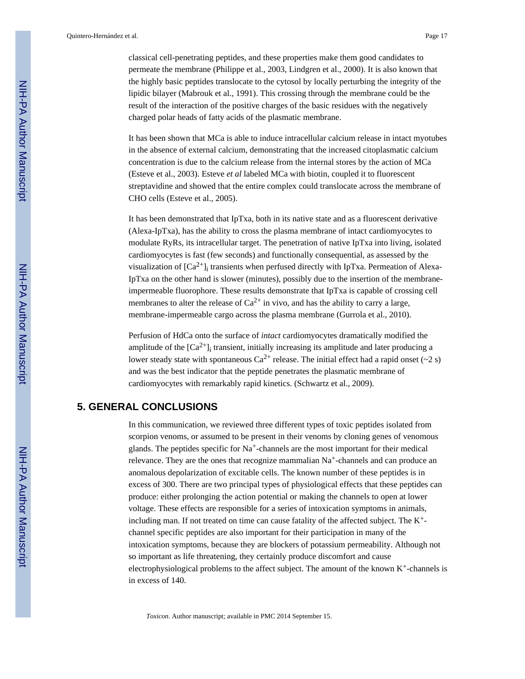classical cell-penetrating peptides, and these properties make them good candidates to permeate the membrane (Philippe et al., 2003, Lindgren et al., 2000). It is also known that the highly basic peptides translocate to the cytosol by locally perturbing the integrity of the lipidic bilayer (Mabrouk et al., 1991). This crossing through the membrane could be the result of the interaction of the positive charges of the basic residues with the negatively charged polar heads of fatty acids of the plasmatic membrane.

It has been shown that MCa is able to induce intracellular calcium release in intact myotubes in the absence of external calcium, demonstrating that the increased citoplasmatic calcium concentration is due to the calcium release from the internal stores by the action of MCa (Esteve et al., 2003). Esteve *et al* labeled MCa with biotin, coupled it to fluorescent streptavidine and showed that the entire complex could translocate across the membrane of CHO cells (Esteve et al., 2005).

It has been demonstrated that IpTxa, both in its native state and as a fluorescent derivative (Alexa-IpTxa), has the ability to cross the plasma membrane of intact cardiomyocytes to modulate RyRs, its intracellular target. The penetration of native IpTxa into living, isolated cardiomyocytes is fast (few seconds) and functionally consequential, as assessed by the visualization of  $[Ca^{2+}]$ <sub>i</sub> transients when perfused directly with IpTxa. Permeation of Alexa-IpTxa on the other hand is slower (minutes), possibly due to the insertion of the membraneimpermeable fluorophore. These results demonstrate that IpTxa is capable of crossing cell membranes to alter the release of  $Ca^{2+}$  in vivo, and has the ability to carry a large, membrane-impermeable cargo across the plasma membrane (Gurrola et al., 2010).

Perfusion of HdCa onto the surface of *intact* cardiomyocytes dramatically modified the amplitude of the  $[Ca^{2+}]$ <sub>i</sub> transient, initially increasing its amplitude and later producing a lower steady state with spontaneous  $Ca^{2+}$  release. The initial effect had a rapid onset (~2 s) and was the best indicator that the peptide penetrates the plasmatic membrane of cardiomyocytes with remarkably rapid kinetics. (Schwartz et al., 2009).

# **5. GENERAL CONCLUSIONS**

In this communication, we reviewed three different types of toxic peptides isolated from scorpion venoms, or assumed to be present in their venoms by cloning genes of venomous glands. The peptides specific for  $Na^+$ -channels are the most important for their medical relevance. They are the ones that recognize mammalian  $Na<sup>+</sup>$ -channels and can produce an anomalous depolarization of excitable cells. The known number of these peptides is in excess of 300. There are two principal types of physiological effects that these peptides can produce: either prolonging the action potential or making the channels to open at lower voltage. These effects are responsible for a series of intoxication symptoms in animals, including man. If not treated on time can cause fatality of the affected subject. The  $K^+$ channel specific peptides are also important for their participation in many of the intoxication symptoms, because they are blockers of potassium permeability. Although not so important as life threatening, they certainly produce discomfort and cause electrophysiological problems to the affect subject. The amount of the known K+-channels is in excess of 140.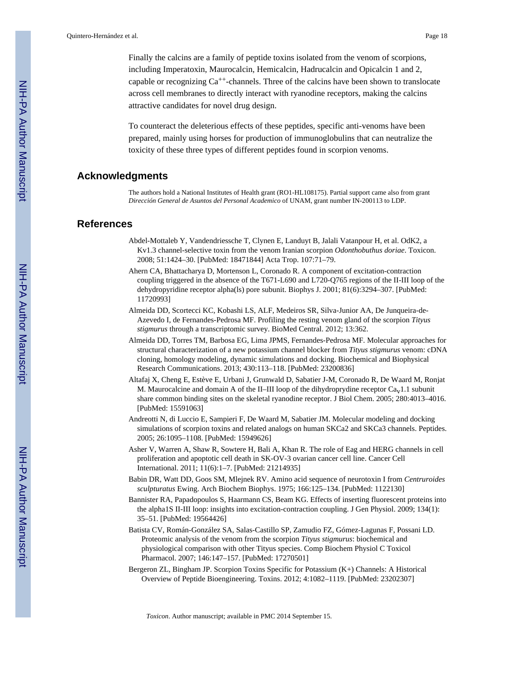Finally the calcins are a family of peptide toxins isolated from the venom of scorpions, including Imperatoxin, Maurocalcin, Hemicalcin, Hadrucalcin and Opicalcin 1 and 2, capable or recognizing  $Ca^{++}$ -channels. Three of the calcins have been shown to translocate across cell membranes to directly interact with ryanodine receptors, making the calcins attractive candidates for novel drug design.

To counteract the deleterious effects of these peptides, specific anti-venoms have been prepared, mainly using horses for production of immunoglobulins that can neutralize the toxicity of these three types of different peptides found in scorpion venoms.

# **Acknowledgments**

The authors hold a National Institutes of Health grant (RO1-HL108175). Partial support came also from grant *Dirección General de Asuntos del Personal Academico* of UNAM, grant number IN-200113 to LDP.

### **References**

- Abdel-Mottaleb Y, Vandendriessche T, Clynen E, Landuyt B, Jalali Vatanpour H, et al. OdK2, a Kv1.3 channel-selective toxin from the venom Iranian scorpion *Odonthobuthus doriae*. Toxicon. 2008; 51:1424–30. [PubMed: 18471844] Acta Trop. 107:71–79.
- Ahern CA, Bhattacharya D, Mortenson L, Coronado R. A component of excitation-contraction coupling triggered in the absence of the T671-L690 and L720-Q765 regions of the II-III loop of the dehydropyridine receptor alpha(ls) pore subunit. Biophys J. 2001; 81(6):3294–307. [PubMed: 11720993]
- Almeida DD, Scortecci KC, Kobashi LS, ALF, Medeiros SR, Silva-Junior AA, De Junqueira-de-Azevedo I, de Fernandes-Pedrosa MF. Profiling the resting venom gland of the scorpion *Tityus stigmurus* through a transcriptomic survey. BioMed Central. 2012; 13:362.
- Almeida DD, Torres TM, Barbosa EG, Lima JPMS, Fernandes-Pedrosa MF. Molecular approaches for structural characterization of a new potassium channel blocker from *Tityus stigmurus* venom: cDNA cloning, homology modeling, dynamic simulations and docking. Biochemical and Biophysical Research Communications. 2013; 430:113–118. [PubMed: 23200836]
- Altafaj X, Cheng E, Estève E, Urbani J, Grunwald D, Sabatier J-M, Coronado R, De Waard M, Ronjat M. Maurocalcine and domain A of the II–III loop of the dihydroprydine receptor  $Ca<sub>v</sub>1.1$  subunit share common binding sites on the skeletal ryanodine receptor. J Biol Chem. 2005; 280:4013–4016. [PubMed: 15591063]
- Andreotti N, di Luccio E, Sampieri F, De Waard M, Sabatier JM. Molecular modeling and docking simulations of scorpion toxins and related analogs on human SKCa2 and SKCa3 channels. Peptides. 2005; 26:1095–1108. [PubMed: 15949626]
- Asher V, Warren A, Shaw R, Sowtere H, Bali A, Khan R. The role of Eag and HERG channels in cell proliferation and apoptotic cell death in SK-OV-3 ovarian cancer cell line. Cancer Cell International. 2011; 11(6):1–7. [PubMed: 21214935]
- Babin DR, Watt DD, Goos SM, Mlejnek RV. Amino acid sequence of neurotoxin I from *Centruroides sculpturatus* Ewing. Arch Biochem Biophys. 1975; 166:125–134. [PubMed: 1122130]
- Bannister RA, Papadopoulos S, Haarmann CS, Beam KG. Effects of inserting fluorescent proteins into the alpha1S II-III loop: insights into excitation-contraction coupling. J Gen Physiol. 2009; 134(1): 35–51. [PubMed: 19564426]
- Batista CV, Román-González SA, Salas-Castillo SP, Zamudio FZ, Gómez-Lagunas F, Possani LD. Proteomic analysis of the venom from the scorpion *Tityus stigmurus*: biochemical and physiological comparison with other Tityus species. Comp Biochem Physiol C Toxicol Pharmacol. 2007; 146:147–157. [PubMed: 17270501]
- Bergeron ZL, Bingham JP. Scorpion Toxins Specific for Potassium (K+) Channels: A Historical Overview of Peptide Bioengineering. Toxins. 2012; 4:1082–1119. [PubMed: 23202307]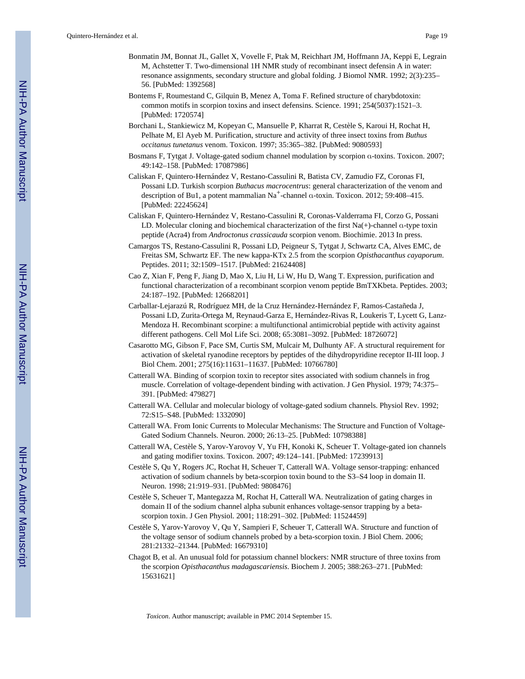- Bonmatin JM, Bonnat JL, Gallet X, Vovelle F, Ptak M, Reichhart JM, Hoffmann JA, Keppi E, Legrain M, Achstetter T. Two-dimensional 1H NMR study of recombinant insect defensin A in water: resonance assignments, secondary structure and global folding. J Biomol NMR. 1992; 2(3):235– 56. [PubMed: 1392568]
- Bontems F, Roumestand C, Gilquin B, Menez A, Toma F. Refined structure of charybdotoxin: common motifs in scorpion toxins and insect defensins. Science. 1991; 254(5037):1521–3. [PubMed: 1720574]
- Borchani L, Stankiewicz M, Kopeyan C, Mansuelle P, Kharrat R, Cestèle S, Karoui H, Rochat H, Pelhate M, El Ayeb M. Purification, structure and activity of three insect toxins from *Buthus occitanus tunetanus* venom. Toxicon. 1997; 35:365–382. [PubMed: 9080593]
- Bosmans F, Tytgat J. Voltage-gated sodium channel modulation by scorpion α-toxins. Toxicon. 2007; 49:142–158. [PubMed: 17087986]
- Caliskan F, Quintero-Hernández V, Restano-Cassulini R, Batista CV, Zamudio FZ, Coronas FI, Possani LD. Turkish scorpion *Buthacus macrocentrus*: general characterization of the venom and description of Bu1, a potent mammalian Na+-channel α-toxin. Toxicon. 2012; 59:408–415. [PubMed: 22245624]
- Caliskan F, Quintero-Hernández V, Restano-Cassulini R, Coronas-Valderrama FI, Corzo G, Possani LD. Molecular cloning and biochemical characterization of the first Na(+)-channel α-type toxin peptide (Acra4) from *Androctonus crassicauda* scorpion venom. Biochimie. 2013 In press.
- Camargos TS, Restano-Cassulini R, Possani LD, Peigneur S, Tytgat J, Schwartz CA, Alves EMC, de Freitas SM, Schwartz EF. The new kappa-KTx 2.5 from the scorpion *Opisthacanthus cayaporum*. Peptides. 2011; 32:1509–1517. [PubMed: 21624408]
- Cao Z, Xian F, Peng F, Jiang D, Mao X, Liu H, Li W, Hu D, Wang T. Expression, purification and functional characterization of a recombinant scorpion venom peptide BmTXKbeta. Peptides. 2003; 24:187–192. [PubMed: 12668201]
- Carballar-Lejarazú R, Rodríguez MH, de la Cruz Hernández-Hernández F, Ramos-Castañeda J, Possani LD, Zurita-Ortega M, Reynaud-Garza E, Hernández-Rivas R, Loukeris T, Lycett G, Lanz-Mendoza H. Recombinant scorpine: a multifunctional antimicrobial peptide with activity against different pathogens. Cell Mol Life Sci. 2008; 65:3081–3092. [PubMed: 18726072]
- Casarotto MG, Gibson F, Pace SM, Curtis SM, Mulcair M, Dulhunty AF. A structural requirement for activation of skeletal ryanodine receptors by peptides of the dihydropyridine receptor II-III loop. J Biol Chem. 2001; 275(16):11631–11637. [PubMed: 10766780]
- Catterall WA. Binding of scorpion toxin to receptor sites associated with sodium channels in frog muscle. Correlation of voltage-dependent binding with activation. J Gen Physiol. 1979; 74:375– 391. [PubMed: 479827]
- Catterall WA. Cellular and molecular biology of voltage-gated sodium channels. Physiol Rev. 1992; 72:S15–S48. [PubMed: 1332090]
- Catterall WA. From Ionic Currents to Molecular Mechanisms: The Structure and Function of Voltage-Gated Sodium Channels. Neuron. 2000; 26:13–25. [PubMed: 10798388]
- Catterall WA, Cestèle S, Yarov-Yarovoy V, Yu FH, Konoki K, Scheuer T. Voltage-gated ion channels and gating modifier toxins. Toxicon. 2007; 49:124–141. [PubMed: 17239913]
- Cestèle S, Qu Y, Rogers JC, Rochat H, Scheuer T, Catterall WA. Voltage sensor-trapping: enhanced activation of sodium channels by beta-scorpion toxin bound to the S3–S4 loop in domain II. Neuron. 1998; 21:919–931. [PubMed: 9808476]
- Cestèle S, Scheuer T, Mantegazza M, Rochat H, Catterall WA. Neutralization of gating charges in domain II of the sodium channel alpha subunit enhances voltage-sensor trapping by a betascorpion toxin. J Gen Physiol. 2001; 118:291–302. [PubMed: 11524459]
- Cestèle S, Yarov-Yarovoy V, Qu Y, Sampieri F, Scheuer T, Catterall WA. Structure and function of the voltage sensor of sodium channels probed by a beta-scorpion toxin. J Biol Chem. 2006; 281:21332–21344. [PubMed: 16679310]
- Chagot B, et al. An unusual fold for potassium channel blockers: NMR structure of three toxins from the scorpion *Opisthacanthus madagascariensis*. Biochem J. 2005; 388:263–271. [PubMed: 15631621]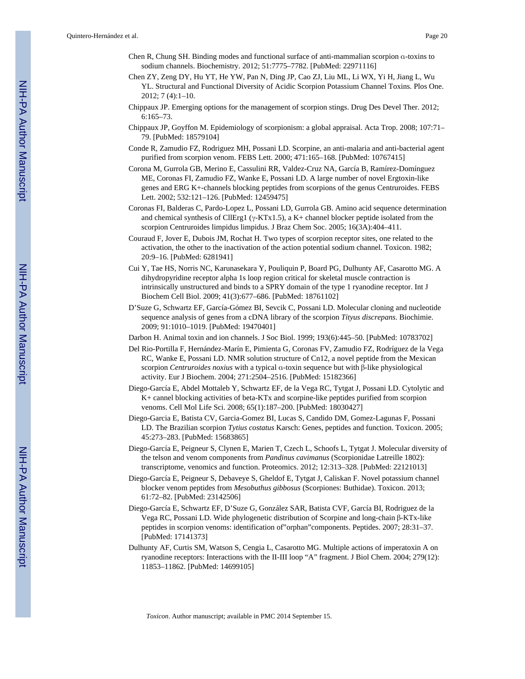- Chen R, Chung SH. Binding modes and functional surface of anti-mammalian scorpion α-toxins to sodium channels. Biochemistry. 2012; 51:7775–7782. [PubMed: 22971116]
- Chen ZY, Zeng DY, Hu YT, He YW, Pan N, Ding JP, Cao ZJ, Liu ML, Li WX, Yi H, Jiang L, Wu YL. Structural and Functional Diversity of Acidic Scorpion Potassium Channel Toxins. Plos One. 2012; 7 (4):1–10.
- Chippaux JP. Emerging options for the management of scorpion stings. Drug Des Devel Ther. 2012; 6:165–73.
- Chippaux JP, Goyffon M. Epidemiology of scorpionism: a global appraisal. Acta Trop. 2008; 107:71– 79. [PubMed: 18579104]
- Conde R, Zamudio FZ, Rodriguez MH, Possani LD. Scorpine, an anti-malaria and anti-bacterial agent purified from scorpion venom. FEBS Lett. 2000; 471:165–168. [PubMed: 10767415]
- Corona M, Gurrola GB, Merino E, Cassulini RR, Valdez-Cruz NA, García B, Ramírez-Domínguez ME, Coronas FI, Zamudio FZ, Wanke E, Possani LD. A large number of novel Ergtoxin-like genes and ERG K+-channels blocking peptides from scorpions of the genus Centruroides. FEBS Lett. 2002; 532:121–126. [PubMed: 12459475]
- Coronas FI, Balderas C, Pardo-Lopez L, Possani LD, Gurrola GB. Amino acid sequence determination and chemical synthesis of CllErg1 ( $\gamma$ -KTx1.5), a K+ channel blocker peptide isolated from the scorpion Centruroides limpidus limpidus. J Braz Chem Soc. 2005; 16(3A):404–411.
- Couraud F, Jover E, Dubois JM, Rochat H. Two types of scorpion receptor sites, one related to the activation, the other to the inactivation of the action potential sodium channel. Toxicon. 1982; 20:9–16. [PubMed: 6281941]
- Cui Y, Tae HS, Norris NC, Karunasekara Y, Pouliquin P, Board PG, Dulhunty AF, Casarotto MG. A dihydropyridine receptor alpha 1s loop region critical for skeletal muscle contraction is intrinsically unstructured and binds to a SPRY domain of the type 1 ryanodine receptor. Int J Biochem Cell Biol. 2009; 41(3):677–686. [PubMed: 18761102]
- D'Suze G, Schwartz EF, García-Gómez BI, Sevcik C, Possani LD. Molecular cloning and nucleotide sequence analysis of genes from a cDNA library of the scorpion *Tityus discrepans*. Biochimie. 2009; 91:1010–1019. [PubMed: 19470401]
- Darbon H. Animal toxin and ion channels. J Soc Biol. 1999; 193(6):445–50. [PubMed: 10783702]
- Del Rio-Portilla F, Hernández-Marín E, Pimienta G, Coronas FV, Zamudio FZ, Rodríguez de la Vega RC, Wanke E, Possani LD. NMR solution structure of Cn12, a novel peptide from the Mexican scorpion *Centruroides noxius* with a typical α-toxin sequence but with β-like physiological activity. Eur J Biochem. 2004; 271:2504–2516. [PubMed: 15182366]
- Diego-García E, Abdel Mottaleb Y, Schwartz EF, de la Vega RC, Tytgat J, Possani LD. Cytolytic and K+ cannel blocking activities of beta-KTx and scorpine-like peptides purified from scorpion venoms. Cell Mol Life Sci. 2008; 65(1):187–200. [PubMed: 18030427]
- Diego-Garcia E, Batista CV, Garcia-Gomez BI, Lucas S, Candido DM, Gomez-Lagunas F, Possani LD. The Brazilian scorpion *Tytius costatus* Karsch: Genes, peptides and function. Toxicon. 2005; 45:273–283. [PubMed: 15683865]
- Diego-García E, Peigneur S, Clynen E, Marien T, Czech L, Schoofs L, Tytgat J. Molecular diversity of the telson and venom components from *Pandinus cavimanus* (Scorpionidae Latreille 1802): transcriptome, venomics and function. Proteomics. 2012; 12:313–328. [PubMed: 22121013]
- Diego-García E, Peigneur S, Debaveye S, Gheldof E, Tytgat J, Caliskan F. Novel potassium channel blocker venom peptides from *Mesobuthus gibbosus* (Scorpiones: Buthidae). Toxicon. 2013; 61:72–82. [PubMed: 23142506]
- Diego-García E, Schwartz EF, D'Suze G, González SAR, Batista CVF, García BI, Rodriguez de la Vega RC, Possani LD. Wide phylogenetic distribution of Scorpine and long-chain β-KTx-like peptides in scorpion venoms: identification of"orphan"components. Peptides. 2007; 28:31–37. [PubMed: 17141373]
- Dulhunty AF, Curtis SM, Watson S, Cengia L, Casarotto MG. Multiple actions of imperatoxin A on ryanodine receptors: Interactions with the II-III loop "A" fragment. J Biol Chem. 2004; 279(12): 11853–11862. [PubMed: 14699105]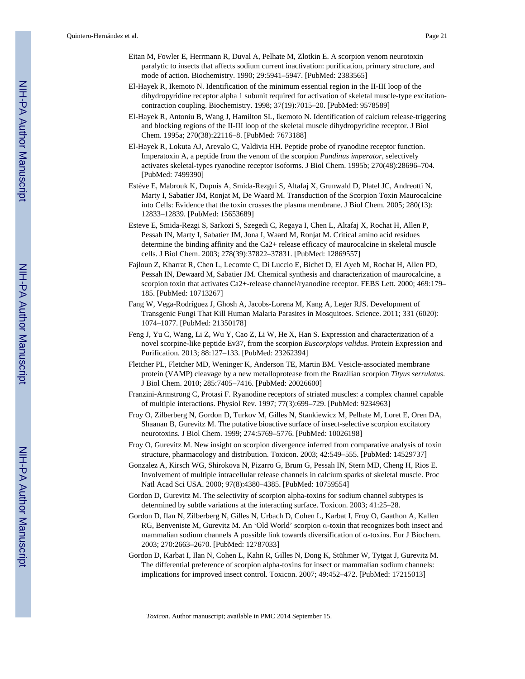- Eitan M, Fowler E, Herrmann R, Duval A, Pelhate M, Zlotkin E. A scorpion venom neurotoxin paralytic to insects that affects sodium current inactivation: purification, primary structure, and mode of action. Biochemistry. 1990; 29:5941–5947. [PubMed: 2383565]
- El-Hayek R, Ikemoto N. Identification of the minimum essential region in the II-III loop of the dihydropyridine receptor alpha 1 subunit required for activation of skeletal muscle-type excitationcontraction coupling. Biochemistry. 1998; 37(19):7015–20. [PubMed: 9578589]
- El-Hayek R, Antoniu B, Wang J, Hamilton SL, Ikemoto N. Identification of calcium release-triggering and blocking regions of the II-III loop of the skeletal muscle dihydropyridine receptor. J Biol Chem. 1995a; 270(38):22116–8. [PubMed: 7673188]
- El-Hayek R, Lokuta AJ, Arevalo C, Valdivia HH. Peptide probe of ryanodine receptor function. Imperatoxin A, a peptide from the venom of the scorpion *Pandinus imperator*, selectively activates skeletal-types ryanodine receptor isoforms. J Biol Chem. 1995b; 270(48):28696–704. [PubMed: 7499390]
- Estève E, Mabrouk K, Dupuis A, Smida-Rezgui S, Altafaj X, Grunwald D, Platel JC, Andreotti N, Marty I, Sabatier JM, Ronjat M, De Waard M. Transduction of the Scorpion Toxin Maurocalcine into Cells: Evidence that the toxin crosses the plasma membrane. J Biol Chem. 2005; 280(13): 12833–12839. [PubMed: 15653689]
- Esteve E, Smida-Rezgi S, Sarkozi S, Szegedi C, Regaya I, Chen L, Altafaj X, Rochat H, Allen P, Pessah IN, Marty I, Sabatier JM, Jona I, Waard M, Ronjat M. Critical amino acid residues determine the binding affinity and the Ca2+ release efficacy of maurocalcine in skeletal muscle cells. J Biol Chem. 2003; 278(39):37822–37831. [PubMed: 12869557]
- Fajloun Z, Kharrat R, Chen L, Lecomte C, Di Luccio E, Bichet D, El Ayeb M, Rochat H, Allen PD, Pessah IN, Dewaard M, Sabatier JM. Chemical synthesis and characterization of maurocalcine, a scorpion toxin that activates Ca2+-release channel/ryanodine receptor. FEBS Lett. 2000; 469:179– 185. [PubMed: 10713267]
- Fang W, Vega-Rodríguez J, Ghosh A, Jacobs-Lorena M, Kang A, Leger RJS. Development of Transgenic Fungi That Kill Human Malaria Parasites in Mosquitoes. Science. 2011; 331 (6020): 1074–1077. [PubMed: 21350178]
- Feng J, Yu C, Wang, Li Z, Wu Y, Cao Z, Li W, He X, Han S. Expression and characterization of a novel scorpine-like peptide Ev37, from the scorpion *Euscorpiops validus*. Protein Expression and Purification. 2013; 88:127–133. [PubMed: 23262394]
- Fletcher PL, Fletcher MD, Weninger K, Anderson TE, Martin BM. Vesicle-associated membrane protein (VAMP) cleavage by a new metalloprotease from the Brazilian scorpion *Tityus serrulatus*. J Biol Chem. 2010; 285:7405–7416. [PubMed: 20026600]
- Franzini-Armstrong C, Protasi F. Ryanodine receptors of striated muscles: a complex channel capable of multiple interactions. Physiol Rev. 1997; 77(3):699–729. [PubMed: 9234963]
- Froy O, Zilberberg N, Gordon D, Turkov M, Gilles N, Stankiewicz M, Pelhate M, Loret E, Oren DA, Shaanan B, Gurevitz M. The putative bioactive surface of insect-selective scorpion excitatory neurotoxins. J Biol Chem. 1999; 274:5769–5776. [PubMed: 10026198]
- Froy O, Gurevitz M. New insight on scorpion divergence inferred from comparative analysis of toxin structure, pharmacology and distribution. Toxicon. 2003; 42:549–555. [PubMed: 14529737]
- Gonzalez A, Kirsch WG, Shirokova N, Pizarro G, Brum G, Pessah IN, Stern MD, Cheng H, Rios E. Involvement of multiple intracellular release channels in calcium sparks of skeletal muscle. Proc Natl Acad Sci USA. 2000; 97(8):4380–4385. [PubMed: 10759554]
- Gordon D, Gurevitz M. The selectivity of scorpion alpha-toxins for sodium channel subtypes is determined by subtle variations at the interacting surface. Toxicon. 2003; 41:25–28.
- Gordon D, Ilan N, Zilberberg N, Gilles N, Urbach D, Cohen L, Karbat I, Froy O, Gaathon A, Kallen RG, Benveniste M, Gurevitz M. An 'Old World' scorpion α-toxin that recognizes both insect and mammalian sodium channels A possible link towards diversification of α-toxins. Eur J Biochem. 2003; 270:2663–2670. [PubMed: 12787033]
- Gordon D, Karbat I, Ilan N, Cohen L, Kahn R, Gilles N, Dong K, Stühmer W, Tytgat J, Gurevitz M. The differential preference of scorpion alpha-toxins for insect or mammalian sodium channels: implications for improved insect control. Toxicon. 2007; 49:452–472. [PubMed: 17215013]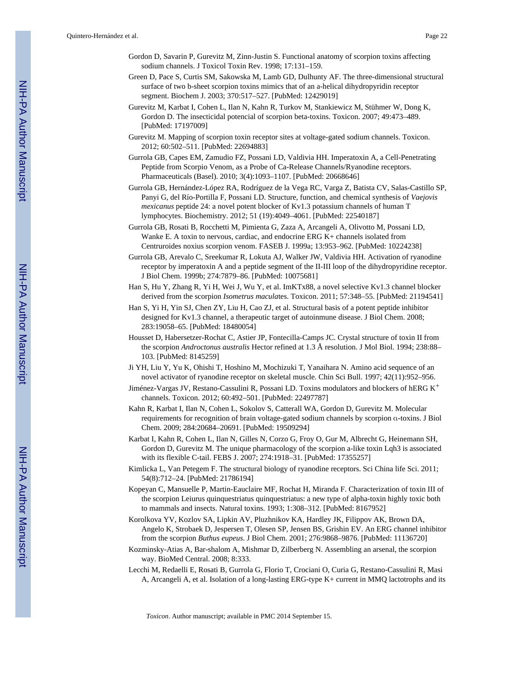- Gordon D, Savarin P, Gurevitz M, Zinn-Justin S. Functional anatomy of scorpion toxins affecting sodium channels. J Toxicol Toxin Rev. 1998; 17:131–159.
- Green D, Pace S, Curtis SM, Sakowska M, Lamb GD, Dulhunty AF. The three-dimensional structural surface of two b-sheet scorpion toxins mimics that of an a-helical dihydropyridin receptor segment. Biochem J. 2003; 370:517–527. [PubMed: 12429019]
- Gurevitz M, Karbat I, Cohen L, Ilan N, Kahn R, Turkov M, Stankiewicz M, Stühmer W, Dong K, Gordon D. The insecticidal potencial of scorpion beta-toxins. Toxicon. 2007; 49:473–489. [PubMed: 17197009]
- Gurevitz M. Mapping of scorpion toxin receptor sites at voltage-gated sodium channels. Toxicon. 2012; 60:502–511. [PubMed: 22694883]
- Gurrola GB, Capes EM, Zamudio FZ, Possani LD, Valdivia HH. Imperatoxin A, a Cell-Penetrating Peptide from Scorpio Venom, as a Probe of Ca-Release Channels/Ryanodine receptors. Pharmaceuticals (Basel). 2010; 3(4):1093–1107. [PubMed: 20668646]
- Gurrola GB, Hernández-López RA, Rodríguez de la Vega RC, Varga Z, Batista CV, Salas-Castillo SP, Panyi G, del Río-Portilla F, Possani LD. Structure, function, and chemical synthesis of *Vaejovis mexicanus* peptide 24: a novel potent blocker of Kv1.3 potassium channels of human T lymphocytes. Biochemistry. 2012; 51 (19):4049–4061. [PubMed: 22540187]
- Gurrola GB, Rosati B, Rocchetti M, Pimienta G, Zaza A, Arcangeli A, Olivotto M, Possani LD, Wanke E. A toxin to nervous, cardiac, and endocrine ERG K+ channels isolated from Centruroides noxius scorpion venom. FASEB J. 1999a; 13:953–962. [PubMed: 10224238]
- Gurrola GB, Arevalo C, Sreekumar R, Lokuta AJ, Walker JW, Valdivia HH. Activation of ryanodine receptor by imperatoxin A and a peptide segment of the II-III loop of the dihydropyridine receptor. J Biol Chem. 1999b; 274:7879–86. [PubMed: 10075681]
- Han S, Hu Y, Zhang R, Yi H, Wei J, Wu Y, et al. ImKTx88, a novel selective Kv1.3 channel blocker derived from the scorpion *Isometrus macula*tes. Toxicon. 2011; 57:348–55. [PubMed: 21194541]
- Han S, Yi H, Yin SJ, Chen ZY, Liu H, Cao ZJ, et al. Structural basis of a potent peptide inhibitor designed for Kv1.3 channel, a therapeutic target of autoinmune disease. J Biol Chem. 2008; 283:19058–65. [PubMed: 18480054]
- Housset D, Habersetzer-Rochat C, Astier JP, Fontecilla-Camps JC. Crystal structure of toxin II from the scorpion *Androctonus australis* Hector refined at 1.3 Å resolution. J Mol Biol. 1994; 238:88– 103. [PubMed: 8145259]
- Ji YH, Liu Y, Yu K, Ohishi T, Hoshino M, Mochizuki T, Yanaihara N. Amino acid sequence of an novel activator of ryanodine receptor on skeletal muscle. Chin Sci Bull. 1997; 42(11):952–956.
- Jiménez-Vargas JV, Restano-Cassulini R, Possani LD. Toxins modulators and blockers of hERG  $K^+$ channels. Toxicon. 2012; 60:492–501. [PubMed: 22497787]
- Kahn R, Karbat I, Ilan N, Cohen L, Sokolov S, Catterall WA, Gordon D, Gurevitz M. Molecular requirements for recognition of brain voltage-gated sodium channels by scorpion α-toxins. J Biol Chem. 2009; 284:20684–20691. [PubMed: 19509294]
- Karbat I, Kahn R, Cohen L, Ilan N, Gilles N, Corzo G, Froy O, Gur M, Albrecht G, Heinemann SH, Gordon D, Gurevitz M. The unique pharmacology of the scorpion a-like toxin Lqh3 is associated with its flexible C-tail. FEBS J. 2007; 274:1918–31. [PubMed: 17355257]
- Kimlicka L, Van Petegem F. The structural biology of ryanodine receptors. Sci China life Sci. 2011; 54(8):712–24. [PubMed: 21786194]
- Kopeyan C, Mansuelle P, Martin-Eauclaire MF, Rochat H, Miranda F. Characterization of toxin III of the scorpion Leiurus quinquestriatus quinquestriatus: a new type of alpha-toxin highly toxic both to mammals and insects. Natural toxins. 1993; 1:308–312. [PubMed: 8167952]
- Korolkova YV, Kozlov SA, Lipkin AV, Pluzhnikov KA, Hardley JK, Filippov AK, Brown DA, Angelo K, Strobaek D, Jespersen T, Olesen SP, Jensen BS, Grishin EV. An ERG channel inhibitor from the scorpion *Buthus eupeus*. J Biol Chem. 2001; 276:9868–9876. [PubMed: 11136720]
- Kozminsky-Atias A, Bar-shalom A, Mishmar D, Zilberberg N. Assembling an arsenal, the scorpion way. BioMed Central. 2008; 8:333.
- Lecchi M, Redaelli E, Rosati B, Gurrola G, Florio T, Crociani O, Curia G, Restano-Cassulini R, Masi A, Arcangeli A, et al. Isolation of a long-lasting ERG-type K+ current in MMQ lactotrophs and its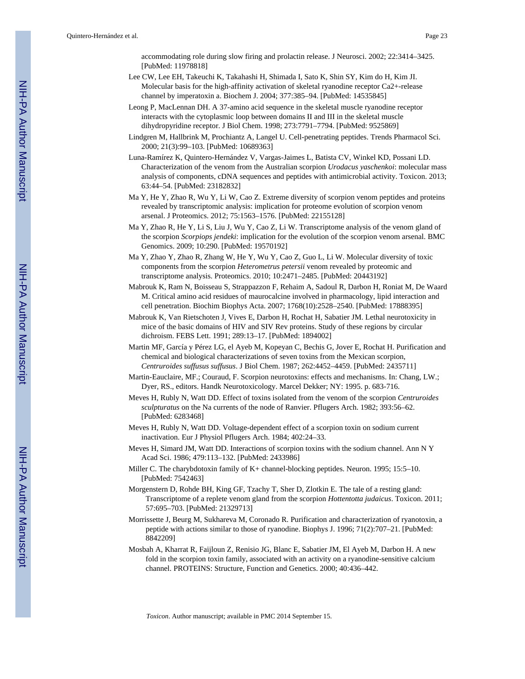accommodating role during slow firing and prolactin release. J Neurosci. 2002; 22:3414–3425. [PubMed: 11978818]

- Lee CW, Lee EH, Takeuchi K, Takahashi H, Shimada I, Sato K, Shin SY, Kim do H, Kim JI. Molecular basis for the high-affinity activation of skeletal ryanodine receptor Ca2+-release channel by imperatoxin a. Biochem J. 2004; 377:385–94. [PubMed: 14535845]
- Leong P, MacLennan DH. A 37-amino acid sequence in the skeletal muscle ryanodine receptor interacts with the cytoplasmic loop between domains II and III in the skeletal muscle dihydropyridine receptor. J Biol Chem. 1998; 273:7791–7794. [PubMed: 9525869]
- Lindgren M, Hallbrink M, Prochiantz A, Langel U. Cell-penetrating peptides. Trends Pharmacol Sci. 2000; 21(3):99–103. [PubMed: 10689363]
- Luna-Ramírez K, Quintero-Hernández V, Vargas-Jaimes L, Batista CV, Winkel KD, Possani LD. Characterization of the venom from the Australian scorpion *Urodacus yaschenkoi*: molecular mass analysis of components, cDNA sequences and peptides with antimicrobial activity. Toxicon. 2013; 63:44–54. [PubMed: 23182832]
- Ma Y, He Y, Zhao R, Wu Y, Li W, Cao Z. Extreme diversity of scorpion venom peptides and proteins revealed by transcriptomic analysis: implication for proteome evolution of scorpion venom arsenal. J Proteomics. 2012; 75:1563–1576. [PubMed: 22155128]
- Ma Y, Zhao R, He Y, Li S, Liu J, Wu Y, Cao Z, Li W. Transcriptome analysis of the venom gland of the scorpion *Scorpiops jendeki*: implication for the evolution of the scorpion venom arsenal. BMC Genomics. 2009; 10:290. [PubMed: 19570192]
- Ma Y, Zhao Y, Zhao R, Zhang W, He Y, Wu Y, Cao Z, Guo L, Li W. Molecular diversity of toxic components from the scorpion *Heterometrus petersii* venom revealed by proteomic and transcriptome analysis. Proteomics. 2010; 10:2471–2485. [PubMed: 20443192]
- Mabrouk K, Ram N, Boisseau S, Strappazzon F, Rehaim A, Sadoul R, Darbon H, Roniat M, De Waard M. Critical amino acid residues of maurocalcine involved in pharmacology, lipid interaction and cell penetration. Biochim Biophys Acta. 2007; 1768(10):2528–2540. [PubMed: 17888395]
- Mabrouk K, Van Rietschoten J, Vives E, Darbon H, Rochat H, Sabatier JM. Lethal neurotoxicity in mice of the basic domains of HIV and SIV Rev proteins. Study of these regions by circular dichroism. FEBS Lett. 1991; 289:13–17. [PubMed: 1894002]
- Martin MF, García y Pérez LG, el Ayeb M, Kopeyan C, Bechis G, Jover E, Rochat H. Purification and chemical and biological characterizations of seven toxins from the Mexican scorpion, *Centruroides suffusus suffusus*. J Biol Chem. 1987; 262:4452–4459. [PubMed: 2435711]
- Martin-Eauclaire, MF.; Couraud, F. Scorpion neurotoxins: effects and mechanisms. In: Chang, LW.; Dyer, RS., editors. Handk Neurotoxicology. Marcel Dekker; NY: 1995. p. 683-716.
- Meves H, Rubly N, Watt DD. Effect of toxins isolated from the venom of the scorpion *Centruroides sculpturatus* on the Na currents of the node of Ranvier. Pflugers Arch. 1982; 393:56–62. [PubMed: 6283468]
- Meves H, Rubly N, Watt DD. Voltage-dependent effect of a scorpion toxin on sodium current inactivation. Eur J Physiol Pflugers Arch. 1984; 402:24–33.
- Meves H, Simard JM, Watt DD. Interactions of scorpion toxins with the sodium channel. Ann N Y Acad Sci. 1986; 479:113–132. [PubMed: 2433986]
- Miller C. The charybdotoxin family of K+ channel-blocking peptides. Neuron. 1995; 15:5–10. [PubMed: 7542463]
- Morgenstern D, Rohde BH, King GF, Tzachy T, Sher D, Zlotkin E. The tale of a resting gland: Transcriptome of a replete venom gland from the scorpion *Hottentotta judaicus*. Toxicon. 2011; 57:695–703. [PubMed: 21329713]
- Morrissette J, Beurg M, Sukhareva M, Coronado R. Purification and characterization of ryanotoxin, a peptide with actions similar to those of ryanodine. Biophys J. 1996; 71(2):707–21. [PubMed: 8842209]
- Mosbah A, Kharrat R, Faijloun Z, Renisio JG, Blanc E, Sabatier JM, El Ayeb M, Darbon H. A new fold in the scorpion toxin family, associated with an activity on a ryanodine-sensitive calcium channel. PROTEINS: Structure, Function and Genetics. 2000; 40:436–442.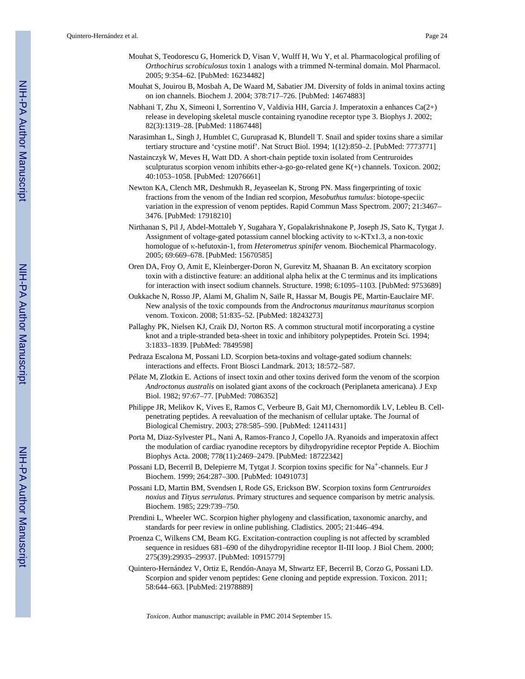- Mouhat S, Teodorescu G, Homerick D, Visan V, Wulff H, Wu Y, et al. Pharmacological profiling of *Orthochirus scrobiculosus* toxin 1 analogs with a trimmed N-terminal domain. Mol Pharmacol. 2005; 9:354–62. [PubMed: 16234482]
- Mouhat S, Jouirou B, Mosbah A, De Waard M, Sabatier JM. Diversity of folds in animal toxins acting on ion channels. Biochem J. 2004; 378:717–726. [PubMed: 14674883]
- Nabhani T, Zhu X, Simeoni I, Sorrentino V, Valdivia HH, Garcia J. Imperatoxin a enhances Ca(2+) release in developing skeletal muscle containing ryanodine receptor type 3. Biophys J. 2002; 82(3):1319–28. [PubMed: 11867448]
- Narasimhan L, Singh J, Humblet C, Guruprasad K, Blundell T. Snail and spider toxins share a similar tertiary structure and 'cystine motif'. Nat Struct Biol. 1994; 1(12):850–2. [PubMed: 7773771]
- Nastainczyk W, Meves H, Watt DD. A short-chain peptide toxin isolated from Centruroides sculpturatus scorpion venom inhibits ether-a-go-go-related gene K(+) channels. Toxicon. 2002; 40:1053–1058. [PubMed: 12076661]
- Newton KA, Clench MR, Deshmukh R, Jeyaseelan K, Strong PN. Mass fingerprinting of toxic fractions from the venom of the Indian red scorpion, *Mesobuthus tamulus*: biotope-speciic variation in the expression of venom peptides. Rapid Commun Mass Spectrom. 2007; 21:3467– 3476. [PubMed: 17918210]
- Nirthanan S, Pil J, Abdel-Mottaleb Y, Sugahara Y, Gopalakrishnakone P, Joseph JS, Sato K, Tytgat J. Assignment of voltage-gated potassium cannel blocking activity to κ-KTx1.3, a non-toxic homologue of κ-hefutoxin-1, from *Heterometrus spinifer* venom. Biochemical Pharmacology. 2005; 69:669–678. [PubMed: 15670585]
- Oren DA, Froy O, Amit E, Kleinberger-Doron N, Gurevitz M, Shaanan B. An excitatory scorpion toxin with a distinctive feature: an additional alpha helix at the C terminus and its implications for interaction with insect sodium channels. Structure. 1998; 6:1095–1103. [PubMed: 9753689]
- Oukkache N, Rosso JP, Alami M, Ghalim N, Saïle R, Hassar M, Bougis PE, Martin-Eauclaire MF. New analysis of the toxic compounds from the *Androctonus mauritanus mauritanus* scorpion venom. Toxicon. 2008; 51:835–52. [PubMed: 18243273]
- Pallaghy PK, Nielsen KJ, Craik DJ, Norton RS. A common structural motif incorporating a cystine knot and a triple-stranded beta-sheet in toxic and inhibitory polypeptides. Protein Sci. 1994; 3:1833–1839. [PubMed: 7849598]
- Pedraza Escalona M, Possani LD. Scorpion beta-toxins and voltage-gated sodium channels: interactions and effects. Front Biosci Landmark. 2013; 18:572–587.
- Pélate M, Zlotkin E. Actions of insect toxin and other toxins derived form the venom of the scorpion *Androctonus australis* on isolated giant axons of the cockroach (Periplaneta americana). J Exp Biol. 1982; 97:67–77. [PubMed: 7086352]
- Philippe JR, Melikov K, Vives E, Ramos C, Verbeure B, Gait MJ, Chernomordik LV, Lebleu B. Cellpenetrating peptides. A reevaluation of the mechanism of cellular uptake. The Journal of Biological Chemistry. 2003; 278:585–590. [PubMed: 12411431]
- Porta M, Diaz-Sylvester PL, Nani A, Ramos-Franco J, Copello JA. Ryanoids and imperatoxin affect the modulation of cardiac ryanodine receptors by dihydropyridine receptor Peptide A. Biochim Biophys Acta. 2008; 778(11):2469–2479. [PubMed: 18722342]
- Possani LD, Becerril B, Delepierre M, Tytgat J. Scorpion toxins specific for Na<sup>+</sup>-channels. Eur J Biochem. 1999; 264:287–300. [PubMed: 10491073]
- Possani LD, Martin BM, Svendsen I, Rode GS, Erickson BW. Scorpion toxins form *Centruroides noxius* and *Tityus serrulatus*. Primary structures and sequence comparison by metric analysis. Biochem. 1985; 229:739–750.
- Prendini L, Wheeler WC. Scorpion higher phylogeny and classification, taxonomic anarchy, and standards for peer review in online publishing. Cladistics. 2005; 21:446–494.
- Proenza C, Wilkens CM, Beam KG. Excitation-contraction coupling is not affected by scrambled sequence in residues 681–690 of the dihydropyridine receptor II-III loop. J Biol Chem. 2000; 275(39):29935–29937. [PubMed: 10915779]
- Quintero-Hernández V, Ortiz E, Rendón-Anaya M, Shwartz EF, Becerril B, Corzo G, Possani LD. Scorpion and spider venom peptides: Gene cloning and peptide expression. Toxicon. 2011; 58:644–663. [PubMed: 21978889]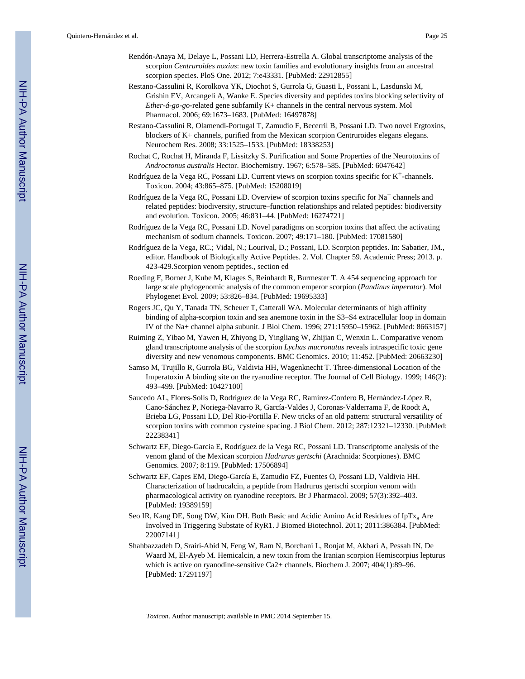- Rendón-Anaya M, Delaye L, Possani LD, Herrera-Estrella A. Global transcriptome analysis of the scorpion *Centruroides noxius*: new toxin families and evolutionary insights from an ancestral scorpion species. PloS One. 2012; 7:e43331. [PubMed: 22912855]
- Restano-Cassulini R, Korolkova YK, Diochot S, Gurrola G, Guasti L, Possani L, Lasdunski M, Grishin EV, Arcangeli A, Wanke E. Species diversity and peptides toxins blocking selectivity of *Ether-á-go-go-*related gene subfamily K+ channels in the central nervous system. Mol Pharmacol. 2006; 69:1673–1683. [PubMed: 16497878]
- Restano-Cassulini R, Olamendi-Portugal T, Zamudio F, Becerril B, Possani LD. Two novel Ergtoxins, blockers of K+ channels, purified from the Mexican scorpion Centruroides elegans elegans. Neurochem Res. 2008; 33:1525–1533. [PubMed: 18338253]
- Rochat C, Rochat H, Miranda F, Lissitzky S. Purification and Some Properties of the Neurotoxins of *Androctonus australis* Hector. Biochemistry. 1967; 6:578–585. [PubMed: 6047642]
- Rodríguez de la Vega RC, Possani LD. Current views on scorpion toxins specific for K+-channels. Toxicon. 2004; 43:865–875. [PubMed: 15208019]
- Rodríguez de la Vega RC, Possani LD. Overview of scorpion toxins specific for Na<sup>+</sup> channels and related peptides: biodiversity, structure–function relationships and related peptides: biodiversity and evolution. Toxicon. 2005; 46:831–44. [PubMed: 16274721]
- Rodríguez de la Vega RC, Possani LD. Novel paradigms on scorpion toxins that affect the activating mechanism of sodium channels. Toxicon. 2007; 49:171–180. [PubMed: 17081580]
- Rodríguez de la Vega, RC.; Vidal, N.; Lourival, D.; Possani, LD. Scorpion peptides. In: Sabatier, JM., editor. Handbook of Biologically Active Peptides. 2. Vol. Chapter 59. Academic Press; 2013. p. 423-429.Scorpion venom peptides., section ed
- Roeding F, Borner J, Kube M, Klages S, Reinhardt R, Burmester T. A 454 sequencing approach for large scale phylogenomic analysis of the common emperor scorpion (*Pandinus imperator*). Mol Phylogenet Evol. 2009; 53:826–834. [PubMed: 19695333]
- Rogers JC, Qu Y, Tanada TN, Scheuer T, Catterall WA. Molecular determinants of high affinity binding of alpha-scorpion toxin and sea anemone toxin in the S3–S4 extracellular loop in domain IV of the Na+ channel alpha subunit. J Biol Chem. 1996; 271:15950–15962. [PubMed: 8663157]
- Ruiming Z, Yibao M, Yawen H, Zhiyong D, Yingliang W, Zhijian C, Wenxin L. Comparative venom gland transcriptome analysis of the scorpion *Lychas mucronatus* reveals intraspecific toxic gene diversity and new venomous components. BMC Genomics. 2010; 11:452. [PubMed: 20663230]
- Samso M, Trujillo R, Gurrola BG, Valdivia HH, Wagenknecht T. Three-dimensional Location of the Imperatoxin A binding site on the ryanodine receptor. The Journal of Cell Biology. 1999; 146(2): 493–499. [PubMed: 10427100]
- Saucedo AL, Flores-Solís D, Rodríguez de la Vega RC, Ramírez-Cordero B, Hernández-López R, Cano-Sánchez P, Noriega-Navarro R, García-Valdes J, Coronas-Valderrama F, de Roodt A, Brieba LG, Possani LD, Del Rio-Portilla F. New tricks of an old pattern: structural versatility of scorpion toxins with common cysteine spacing. J Biol Chem. 2012; 287:12321–12330. [PubMed: 22238341]
- Schwartz EF, Diego-Garcia E, Rodríguez de la Vega RC, Possani LD. Transcriptome analysis of the venom gland of the Mexican scorpion *Hadrurus gertschi* (Arachnida: Scorpiones). BMC Genomics. 2007; 8:119. [PubMed: 17506894]
- Schwartz EF, Capes EM, Diego-García E, Zamudio FZ, Fuentes O, Possani LD, Valdivia HH. Characterization of hadrucalcin, a peptide from Hadrurus gertschi scorpion venom with pharmacological activity on ryanodine receptors. Br J Pharmacol. 2009; 57(3):392–403. [PubMed: 19389159]
- Seo IR, Kang DE, Song DW, Kim DH. Both Basic and Acidic Amino Acid Residues of IpTx<sub>a</sub> Are Involved in Triggering Substate of RyR1. J Biomed Biotechnol. 2011; 2011:386384. [PubMed: 22007141]
- Shahbazzadeh D, Srairi-Abid N, Feng W, Ram N, Borchani L, Ronjat M, Akbari A, Pessah IN, De Waard M, El-Ayeb M. Hemicalcin, a new toxin from the Iranian scorpion Hemiscorpius lepturus which is active on ryanodine-sensitive Ca2+ channels. Biochem J. 2007; 404(1):89–96. [PubMed: 17291197]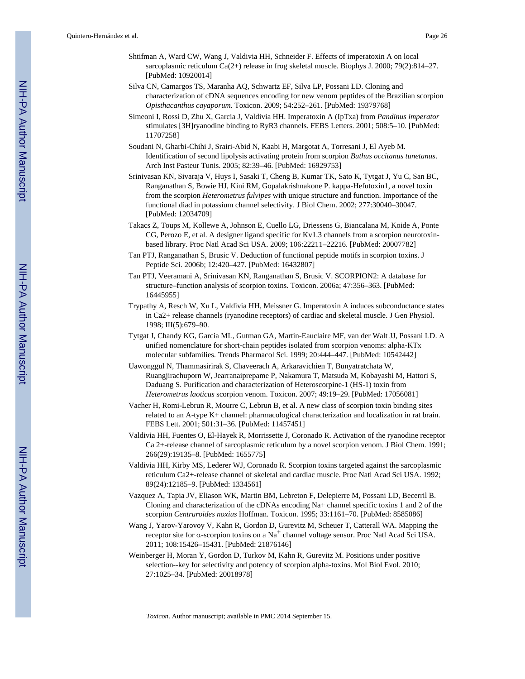- Shtifman A, Ward CW, Wang J, Valdivia HH, Schneider F. Effects of imperatoxin A on local sarcoplasmic reticulum Ca(2+) release in frog skeletal muscle. Biophys J. 2000; 79(2):814–27. [PubMed: 10920014]
- Silva CN, Camargos TS, Maranha AQ, Schwartz EF, Silva LP, Possani LD. Cloning and characterization of cDNA sequences encoding for new venom peptides of the Brazilian scorpion *Opisthacanthus cayaporum*. Toxicon. 2009; 54:252–261. [PubMed: 19379768]
- Simeoni I, Rossi D, Zhu X, Garcia J, Valdivia HH. Imperatoxin A (IpTxa) from *Pandinus imperator* stimulates [3H]ryanodine binding to RyR3 channels. FEBS Letters. 2001; 508:5–10. [PubMed: 11707258]
- Soudani N, Gharbi-Chihi J, Srairi-Abid N, Kaabi H, Margotat A, Torresani J, El Ayeb M. Identification of second lipolysis activating protein from scorpion *Buthus occitanus tunetanus*. Arch Inst Pasteur Tunis. 2005; 82:39–46. [PubMed: 16929753]
- Srinivasan KN, Sivaraja V, Huys I, Sasaki T, Cheng B, Kumar TK, Sato K, Tytgat J, Yu C, San BC, Ranganathan S, Bowie HJ, Kini RM, Gopalakrishnakone P. kappa-Hefutoxin1, a novel toxin from the scorpion *Heterometrus fulvipes* with unique structure and function. Importance of the functional diad in potassium channel selectivity. J Biol Chem. 2002; 277:30040–30047. [PubMed: 12034709]
- Takacs Z, Toups M, Kollewe A, Johnson E, Cuello LG, Driessens G, Biancalana M, Koide A, Ponte CG, Perozo E, et al. A designer ligand specific for Kv1.3 channels from a scorpion neurotoxinbased library. Proc Natl Acad Sci USA. 2009; 106:22211–22216. [PubMed: 20007782]
- Tan PTJ, Ranganathan S, Brusic V. Deduction of functional peptide motifs in scorpion toxins. J Peptide Sci. 2006b; 12:420–427. [PubMed: 16432807]
- Tan PTJ, Veeramani A, Srinivasan KN, Ranganathan S, Brusic V. SCORPION2: A database for structure–function analysis of scorpion toxins. Toxicon. 2006a; 47:356–363. [PubMed: 16445955]
- Trypathy A, Resch W, Xu L, Valdivia HH, Meissner G. Imperatoxin A induces subconductance states in Ca2+ release channels (ryanodine receptors) of cardiac and skeletal muscle. J Gen Physiol. 1998; III(5):679–90.
- Tytgat J, Chandy KG, Garcia ML, Gutman GA, Martin-Eauclaire MF, van der Walt JJ, Possani LD. A unified nomenclature for short-chain peptides isolated from scorpion venoms: alpha-KTx molecular subfamilies. Trends Pharmacol Sci. 1999; 20:444–447. [PubMed: 10542442]
- Uawonggul N, Thammasirirak S, Chaveerach A, Arkaravichien T, Bunyatratchata W, Ruangjirachuporn W, Jearranaiprepame P, Nakamura T, Matsuda M, Kobayashi M, Hattori S, Daduang S. Purification and characterization of Heteroscorpine-1 (HS-1) toxin from *Heterometrus laoticus* scorpion venom. Toxicon. 2007; 49:19–29. [PubMed: 17056081]
- Vacher H, Romi-Lebrun R, Mourre C, Lebrun B, et al. A new class of scorpion toxin binding sites related to an A-type K+ channel: pharmacological characterization and localization in rat brain. FEBS Lett. 2001; 501:31–36. [PubMed: 11457451]
- Valdivia HH, Fuentes O, El-Hayek R, Morrissette J, Coronado R. Activation of the ryanodine receptor Ca 2+-release channel of sarcoplasmic reticulum by a novel scorpion venom. J Biol Chem. 1991; 266(29):19135–8. [PubMed: 1655775]
- Valdivia HH, Kirby MS, Lederer WJ, Coronado R. Scorpion toxins targeted against the sarcoplasmic reticulum Ca2+-release channel of skeletal and cardiac muscle. Proc Natl Acad Sci USA. 1992; 89(24):12185–9. [PubMed: 1334561]
- Vazquez A, Tapia JV, Eliason WK, Martin BM, Lebreton F, Delepierre M, Possani LD, Becerril B. Cloning and characterization of the cDNAs encoding Na+ channel specific toxins 1 and 2 of the scorpion *Centruroides noxius* Hoffman. Toxicon. 1995; 33:1161–70. [PubMed: 8585086]
- Wang J, Yarov-Yarovoy V, Kahn R, Gordon D, Gurevitz M, Scheuer T, Catterall WA. Mapping the receptor site for α-scorpion toxins on a Na+ channel voltage sensor. Proc Natl Acad Sci USA. 2011; 108:15426–15431. [PubMed: 21876146]
- Weinberger H, Moran Y, Gordon D, Turkov M, Kahn R, Gurevitz M. Positions under positive selection--key for selectivity and potency of scorpion alpha-toxins. Mol Biol Evol. 2010; 27:1025–34. [PubMed: 20018978]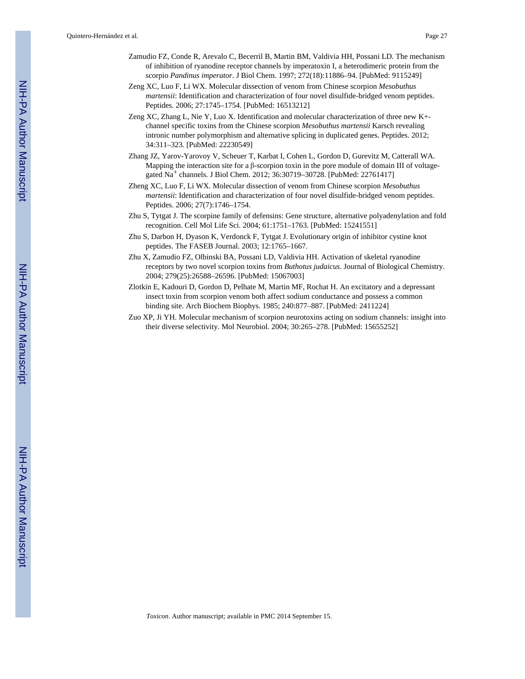- Zamudio FZ, Conde R, Arevalo C, Becerril B, Martin BM, Valdivia HH, Possani LD. The mechanism of inhibition of ryanodine receptor channels by imperatoxin I, a heterodimeric protein from the scorpio *Pandinus imperator*. J Biol Chem. 1997; 272(18):11886–94. [PubMed: 9115249]
- Zeng XC, Luo F, Li WX. Molecular dissection of venom from Chinese scorpion *Mesobuthus martensii*: Identification and characterization of four novel disulfide-bridged venom peptides. Peptides. 2006; 27:1745–1754. [PubMed: 16513212]
- Zeng XC, Zhang L, Nie Y, Luo X. Identification and molecular characterization of three new K+ channel specific toxins from the Chinese scorpion *Mesobuthus martensii* Karsch revealing intronic number polymorphism and alternative splicing in duplicated genes. Peptides. 2012; 34:311–323. [PubMed: 22230549]
- Zhang JZ, Yarov-Yarovoy V, Scheuer T, Karbat I, Cohen L, Gordon D, Gurevitz M, Catterall WA. Mapping the interaction site for a  $\beta$ -scorpion toxin in the pore module of domain III of voltagegated Na<sup>+</sup> channels. J Biol Chem. 2012; 36:30719-30728. [PubMed: 22761417]
- Zheng XC, Luo F, Li WX. Molecular dissection of venom from Chinese scorpion *Mesobuthus martensii*: Identification and characterization of four novel disulfide-bridged venom peptides. Peptides. 2006; 27(7):1746–1754.
- Zhu S, Tytgat J. The scorpine family of defensins: Gene structure, alternative polyadenylation and fold recognition. Cell Mol Life Sci. 2004; 61:1751–1763. [PubMed: 15241551]
- Zhu S, Darbon H, Dyason K, Verdonck F, Tytgat J. Evolutionary origin of inhibitor cystine knot peptides. The FASEB Journal. 2003; 12:1765–1667.
- Zhu X, Zamudio FZ, Olbinski BA, Possani LD, Valdivia HH. Activation of skeletal ryanodine receptors by two novel scorpion toxins from *Buthotus judaicus*. Journal of Biological Chemistry. 2004; 279(25):26588–26596. [PubMed: 15067003]
- Zlotkin E, Kadouri D, Gordon D, Pelhate M, Martin MF, Rochat H. An excitatory and a depressant insect toxin from scorpion venom both affect sodium conductance and possess a common binding site. Arch Biochem Biophys. 1985; 240:877–887. [PubMed: 2411224]
- Zuo XP, Ji YH. Molecular mechanism of scorpion neurotoxins acting on sodium channels: insight into their diverse selectivity. Mol Neurobiol. 2004; 30:265–278. [PubMed: 15655252]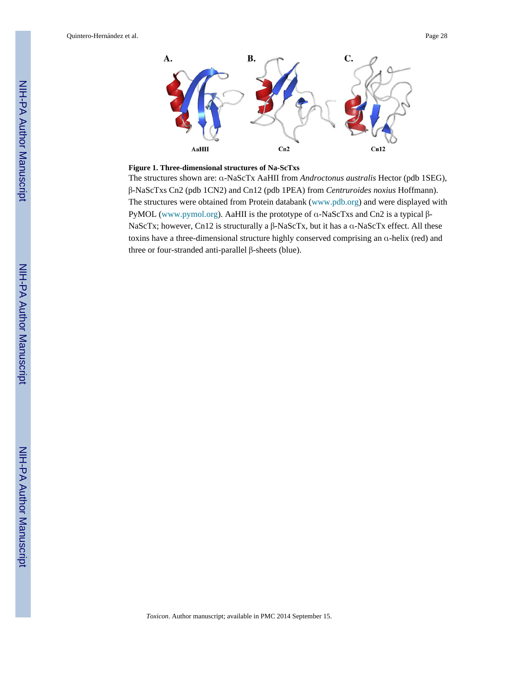

#### **Figure 1. Three-dimensional structures of Na-ScTxs**

The structures shown are: α-NaScTx AaHII from *Androctonus australis* Hector (pdb 1SEG), β-NaScTxs Cn2 (pdb 1CN2) and Cn12 (pdb 1PEA) from *Centruroides noxius* Hoffmann). The structures were obtained from Protein databank (www.pdb.org) and were displayed with PyMOL (www.pymol.org). AaHII is the prototype of α-NaScTxs and Cn2 is a typical β-NaScTx; however, Cn12 is structurally a β-NaScTx, but it has a α-NaScTx effect. All these toxins have a three-dimensional structure highly conserved comprising an α-helix (red) and three or four-stranded anti-parallel β-sheets (blue).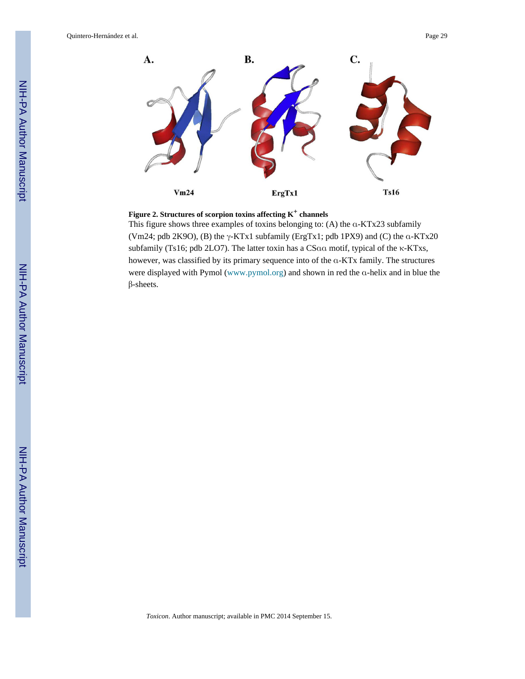

## **Figure 2. Structures of scorpion toxins affecting K+ channels**

This figure shows three examples of toxins belonging to: (A) the α-KTx23 subfamily (Vm24; pdb 2K9O), (B) the  $\gamma$ -KTx1 subfamily (ErgTx1; pdb 1PX9) and (C) the  $\alpha$ -KTx20 subfamily (Ts16; pdb 2LO7). The latter toxin has a CSαα motif, typical of the κ-KTxs, however, was classified by its primary sequence into of the α-KTx family. The structures were displayed with Pymol (www.pymol.org) and shown in red the α-helix and in blue the β-sheets.